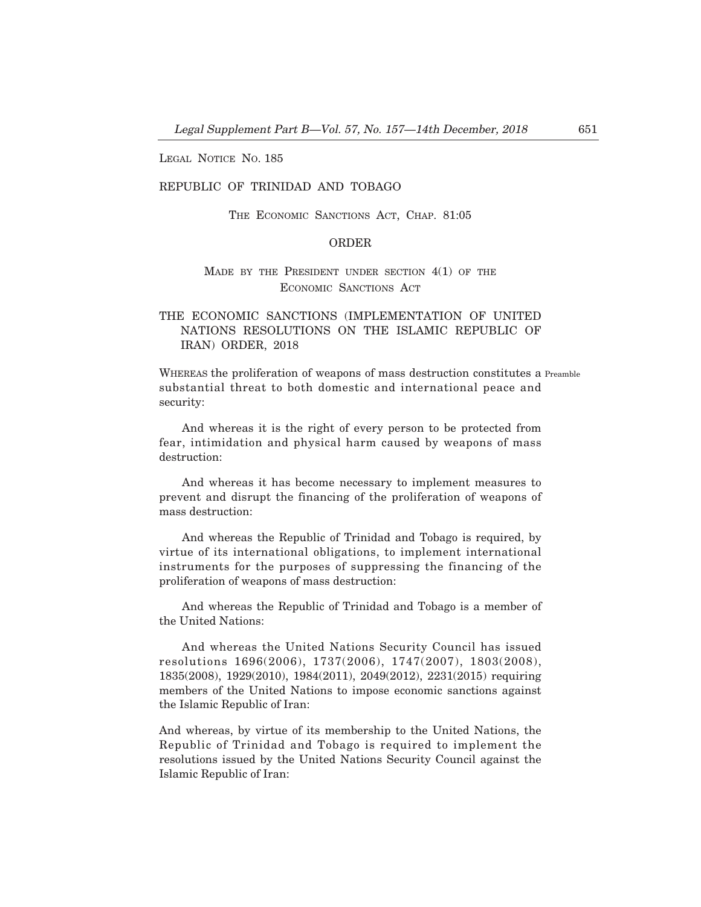LEGAL NOTICE NO. 185

# REPUBLIC OF TRINIDAD AND TOBAGO

THE ECONOMIC SANCTIONS ACT, CHAP. 81:05

## ORDER

# MADE BY THE PRESIDENT UNDER SECTION  $4(1)$  OF THE ECONOMIC SANCTIONS ACT

# THE ECONOMIC SANCTIONS (IMPLEMENTATION OF UNITED NATIONS RESOLUTIONS ON THE ISLAMIC REPUBLIC OF IRAN) ORDER, 2018

WHEREAS the proliferation of weapons of mass destruction constitutes a Preamble substantial threat to both domestic and international peace and security:

And whereas it is the right of every person to be protected from fear, intimidation and physical harm caused by weapons of mass destruction:

And whereas it has become necessary to implement measures to prevent and disrupt the financing of the proliferation of weapons of mass destruction:

And whereas the Republic of Trinidad and Tobago is required, by virtue of its international obligations, to implement international instruments for the purposes of suppressing the financing of the proliferation of weapons of mass destruction:

And whereas the Republic of Trinidad and Tobago is a member of the United Nations:

And whereas the United Nations Security Council has issued resolutions 1696(2006), 1737(2006), 1747(2007), 1803(2008), 1835(2008), 1929(2010), 1984(2011), 2049(2012), 2231(2015) requiring members of the United Nations to impose economic sanctions against the Islamic Republic of Iran:

And whereas, by virtue of its membership to the United Nations, the Republic of Trinidad and Tobago is required to implement the resolutions issued by the United Nations Security Council against the Islamic Republic of Iran: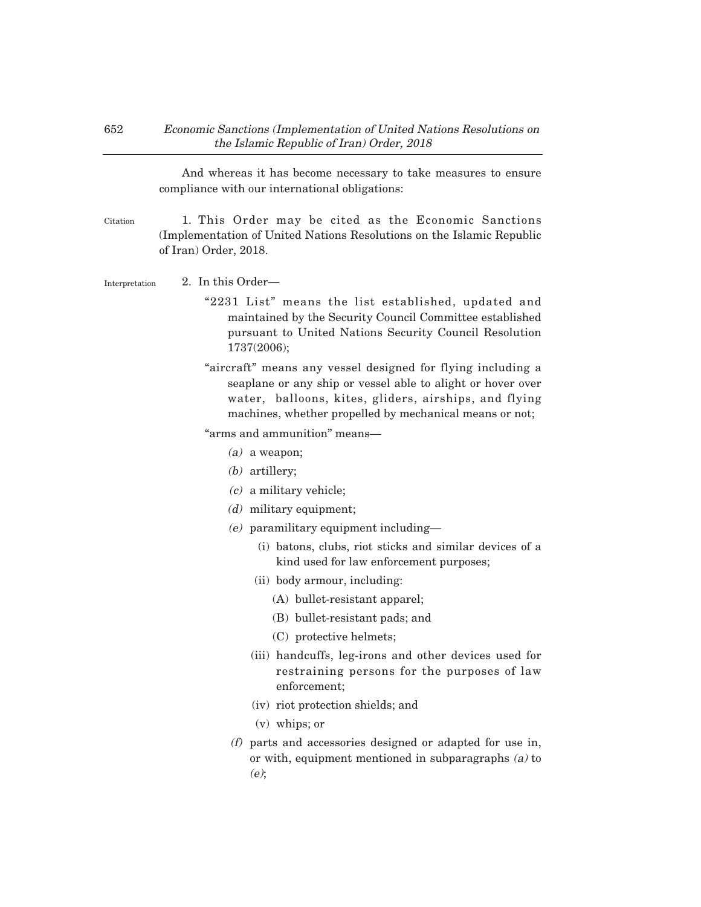And whereas it has become necessary to take measures to ensure compliance with our international obligations:

- 1. This Order may be cited as the Economic Sanctions (Implementation of United Nations Resolutions on the Islamic Republic of Iran) Order, 2018. Citation
- 2. In this Order– Interpretation
	- "2231 List" means the list established, updated and maintained by the Security Council Committee established pursuant to United Nations Security Council Resolution 1737(2006);
	- "aircraft" means any vessel designed for flying including a seaplane or any ship or vessel able to alight or hover over water, balloons, kites, gliders, airships, and flying machines, whether propelled by mechanical means or not;

"arms and ammunition" means–

- (a) a weapon;
- (b) artillery;
- (c) a military vehicle;
- (d) military equipment;
- (e) paramilitary equipment including–
	- (i) batons, clubs, riot sticks and similar devices of a kind used for law enforcement purposes;
	- (ii) body armour, including:
		- (A) bullet-resistant apparel;
		- (B) bullet-resistant pads; and
		- (C) protective helmets;
	- (iii) handcuffs, leg-irons and other devices used for restraining persons for the purposes of law enforcement;
	- (iv) riot protection shields; and
	- (v) whips; or
- (f) parts and accessories designed or adapted for use in, or with, equipment mentioned in subparagraphs (a) to (e);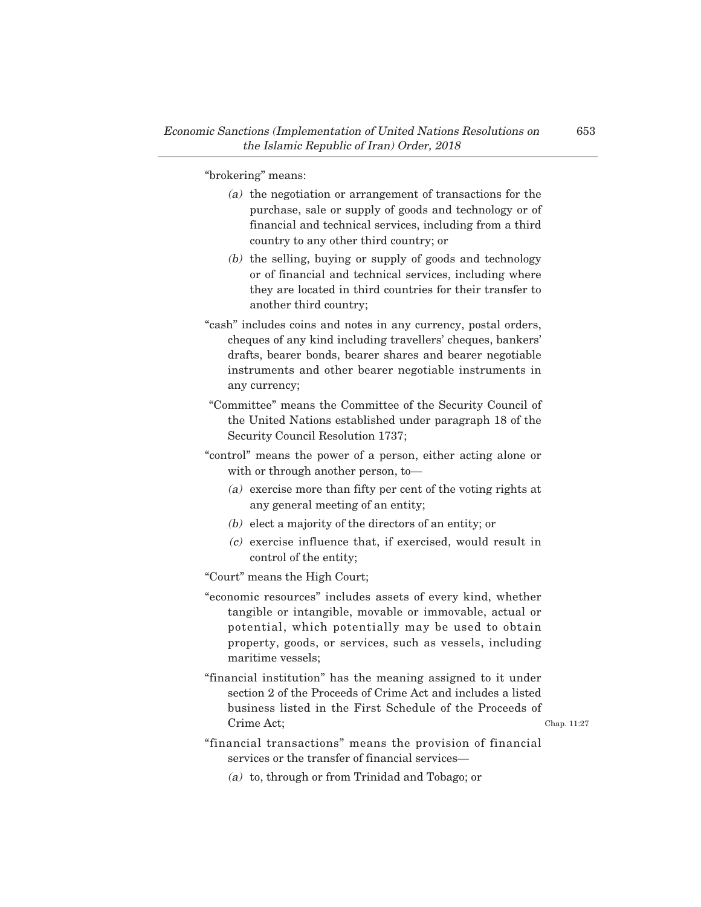"brokering" means:

- (a) the negotiation or arrangement of transactions for the purchase, sale or supply of goods and technology or of financial and technical services, including from a third country to any other third country; or
- (b) the selling, buying or supply of goods and technology or of financial and technical services, including where they are located in third countries for their transfer to another third country;
- "cash" includes coins and notes in any currency, postal orders, cheques of any kind including travellers' cheques, bankers' drafts, bearer bonds, bearer shares and bearer negotiable instruments and other bearer negotiable instruments in any currency;
- "Committee" means the Committee of the Security Council of the United Nations established under paragraph 18 of the Security Council Resolution 1737;
- "control" means the power of a person, either acting alone or with or through another person, to-
	- (a) exercise more than fifty per cent of the voting rights at any general meeting of an entity;
	- (b) elect a majority of the directors of an entity; or
	- (c) exercise influence that, if exercised, would result in control of the entity;

"Court" means the High Court;

- "economic resources" includes assets of every kind, whether tangible or intangible, movable or immovable, actual or potential, which potentially may be used to obtain property, goods, or services, such as vessels, including maritime vessels;
- "financial institution" has the meaning assigned to it under section 2 of the Proceeds of Crime Act and includes a listed business listed in the First Schedule of the Proceeds of Crime Act;

Chap. 11:27

- "financial transactions" means the provision of financial services or the transfer of financial services–
	- (a) to, through or from Trinidad and Tobago; or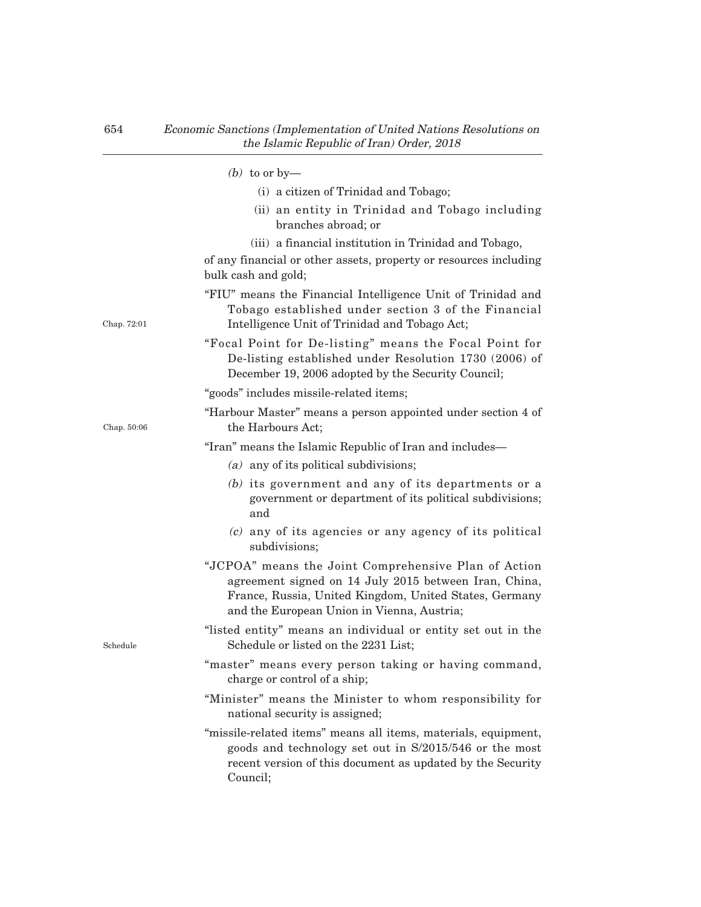|             | ( <i>b</i> ) to or by—                                                                                                                                                                                                |
|-------------|-----------------------------------------------------------------------------------------------------------------------------------------------------------------------------------------------------------------------|
|             | (i) a citizen of Trinidad and Tobago;                                                                                                                                                                                 |
|             | (ii) an entity in Trinidad and Tobago including<br>branches abroad; or                                                                                                                                                |
|             | (iii) a financial institution in Trinidad and Tobago,                                                                                                                                                                 |
|             | of any financial or other assets, property or resources including<br>bulk cash and gold;                                                                                                                              |
| Chap. 72:01 | "FIU" means the Financial Intelligence Unit of Trinidad and<br>Tobago established under section 3 of the Financial<br>Intelligence Unit of Trinidad and Tobago Act;                                                   |
|             | "Focal Point for De-listing" means the Focal Point for<br>De-listing established under Resolution 1730 (2006) of<br>December 19, 2006 adopted by the Security Council;                                                |
|             | "goods" includes missile-related items;                                                                                                                                                                               |
| Chap. 50:06 | "Harbour Master" means a person appointed under section 4 of<br>the Harbours Act;                                                                                                                                     |
| Schedule    | "Iran" means the Islamic Republic of Iran and includes—                                                                                                                                                               |
|             | $(a)$ any of its political subdivisions;                                                                                                                                                                              |
|             | $(b)$ its government and any of its departments or a<br>government or department of its political subdivisions;<br>and                                                                                                |
|             | (c) any of its agencies or any agency of its political<br>subdivisions;                                                                                                                                               |
|             | "JCPOA" means the Joint Comprehensive Plan of Action<br>agreement signed on 14 July 2015 between Iran, China,<br>France, Russia, United Kingdom, United States, Germany<br>and the European Union in Vienna, Austria; |
|             | "listed entity" means an individual or entity set out in the<br>Schedule or listed on the 2231 List;                                                                                                                  |
|             | "master" means every person taking or having command,<br>charge or control of a ship;                                                                                                                                 |
|             | "Minister" means the Minister to whom responsibility for<br>national security is assigned;                                                                                                                            |
|             | "missile-related items" means all items, materials, equipment,<br>goods and technology set out in S/2015/546 or the most<br>recent version of this document as updated by the Security<br>Council;                    |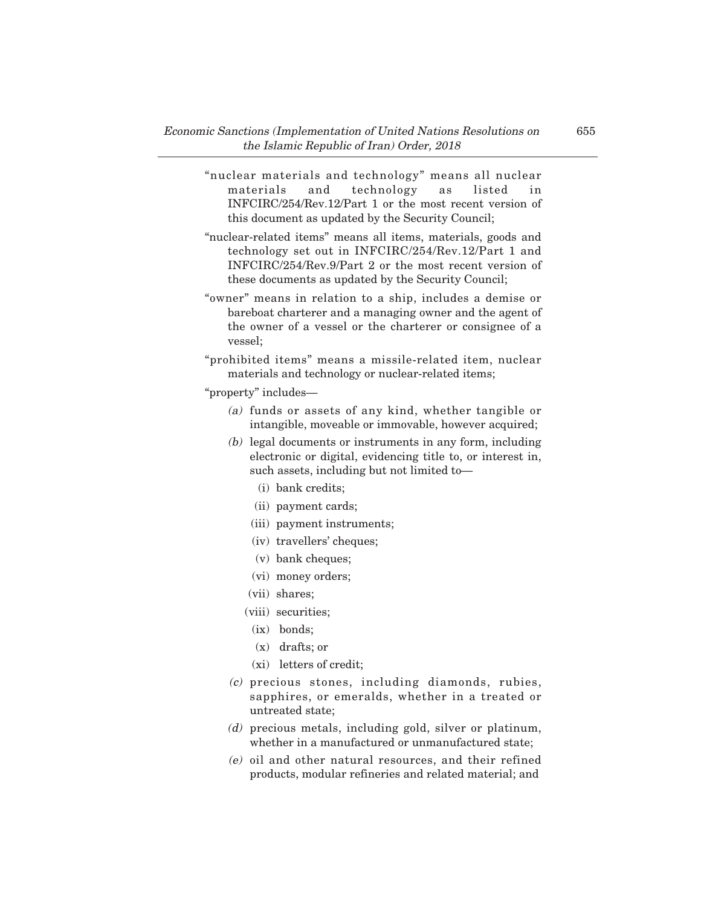- "nuclear materials and technology" means all nuclear materials and technology as listed in INFCIRC/254/Rev.12/Part 1 or the most recent version of this document as updated by the Security Council;
- "nuclear-related items" means all items, materials, goods and technology set out in INFCIRC/254/Rev.12/Part 1 and INFCIRC/254/Rev.9/Part 2 or the most recent version of these documents as updated by the Security Council;
- "owner" means in relation to a ship, includes a demise or bareboat charterer and a managing owner and the agent of the owner of a vessel or the charterer or consignee of a vessel;
- "prohibited items" means a missile-related item, nuclear materials and technology or nuclear-related items;
- "property" includes–
	- (a) funds or assets of any kind, whether tangible or intangible, moveable or immovable, however acquired;
	- (b) legal documents or instruments in any form, including electronic or digital, evidencing title to, or interest in, such assets, including but not limited to–
		- (i) bank credits;
		- (ii) payment cards;
		- (iii) payment instruments;
		- (iv) travellers' cheques;
		- (v) bank cheques;
		- (vi) money orders;
		- (vii) shares;
		- (viii) securities;
		- (ix) bonds;
		- (x) drafts; or
		- (xi) letters of credit;
	- (c) precious stones, including diamonds, rubies, sapphires, or emeralds, whether in a treated or untreated state;
	- (d) precious metals, including gold, silver or platinum, whether in a manufactured or unmanufactured state;
	- (e) oil and other natural resources, and their refined products, modular refineries and related material; and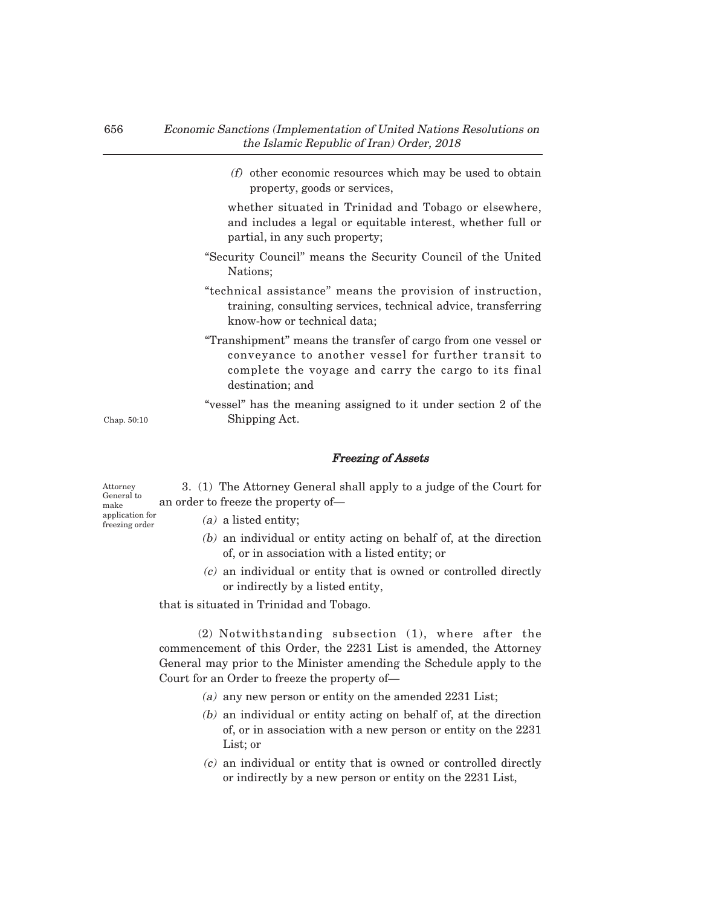(f) other economic resources which may be used to obtain property, goods or services,

whether situated in Trinidad and Tobago or elsewhere, and includes a legal or equitable interest, whether full or partial, in any such property;

- "Security Council" means the Security Council of the United Nations;
- "technical assistance" means the provision of instruction, training, consulting services, technical advice, transferring know-how or technical data;
- "Transhipment" means the transfer of cargo from one vessel or conveyance to another vessel for further transit to complete the voyage and carry the cargo to its final destination; and
- "vessel" has the meaning assigned to it under section 2 of the Shipping Act.

Freezing of Assets

3. (1) The Attorney General shall apply to a judge of the Court for an order to freeze the property of–

- (a) a listed entity;
- (b) an individual or entity acting on behalf of, at the direction of, or in association with a listed entity; or
- (c) an individual or entity that is owned or controlled directly or indirectly by a listed entity,

that is situated in Trinidad and Tobago.

(2) Notwithstanding subsection (1), where after the commencement of this Order, the 2231 List is amended, the Attorney General may prior to the Minister amending the Schedule apply to the Court for an Order to freeze the property of–

- (a) any new person or entity on the amended 2231 List;
- (b) an individual or entity acting on behalf of, at the direction of, or in association with a new person or entity on the 2231 List; or
- (c) an individual or entity that is owned or controlled directly or indirectly by a new person or entity on the 2231 List,

Attorney General to make application for freezing order

Chap. 50:10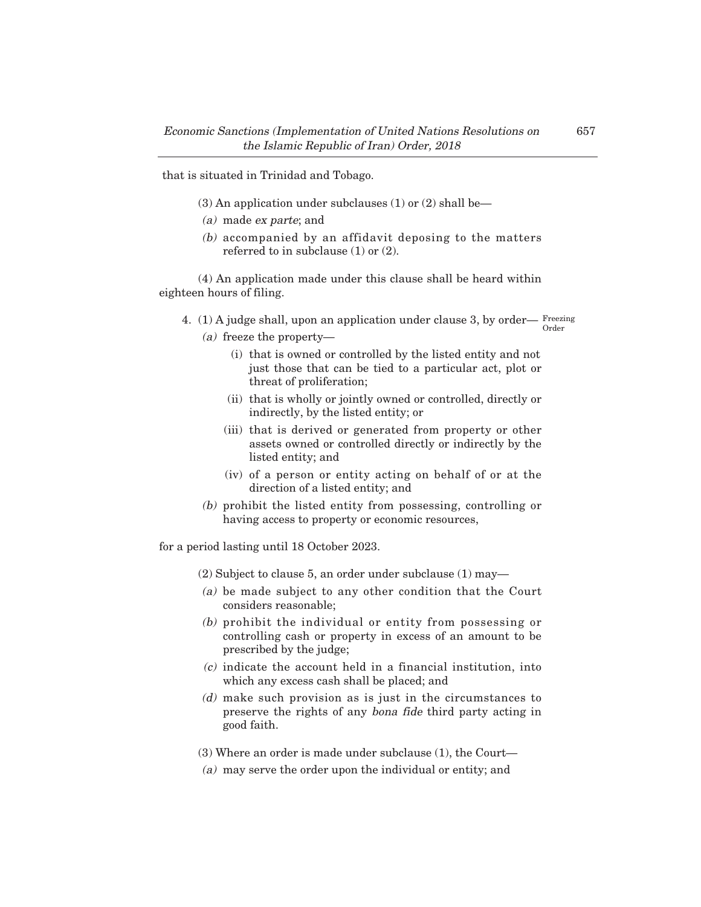that is situated in Trinidad and Tobago.

- (3) An application under subclauses (1) or (2) shall be—
- (a) made ex parte; and
- (b) accompanied by an affidavit deposing to the matters referred to in subclause (1) or (2).

(4) An application made under this clause shall be heard within eighteen hours of filing.

- 4. (1) A judge shall, upon an application under clause 3, by order– Freezing (a) freeze the property-Order
	- (i) that is owned or controlled by the listed entity and not just those that can be tied to a particular act, plot or threat of proliferation;
	- (ii) that is wholly or jointly owned or controlled, directly or indirectly, by the listed entity; or
	- (iii) that is derived or generated from property or other assets owned or controlled directly or indirectly by the listed entity; and
	- (iv) of a person or entity acting on behalf of or at the direction of a listed entity; and
	- (b) prohibit the listed entity from possessing, controlling or having access to property or economic resources,

for a period lasting until 18 October 2023.

- (2) Subject to clause 5, an order under subclause (1) may–
- (a) be made subject to any other condition that the Court considers reasonable;
- (b) prohibit the individual or entity from possessing or controlling cash or property in excess of an amount to be prescribed by the judge;
- (c) indicate the account held in a financial institution, into which any excess cash shall be placed; and
- (d) make such provision as is just in the circumstances to preserve the rights of any bona fide third party acting in good faith.
- $(3)$  Where an order is made under subclause  $(1)$ , the Court—
- (a) may serve the order upon the individual or entity; and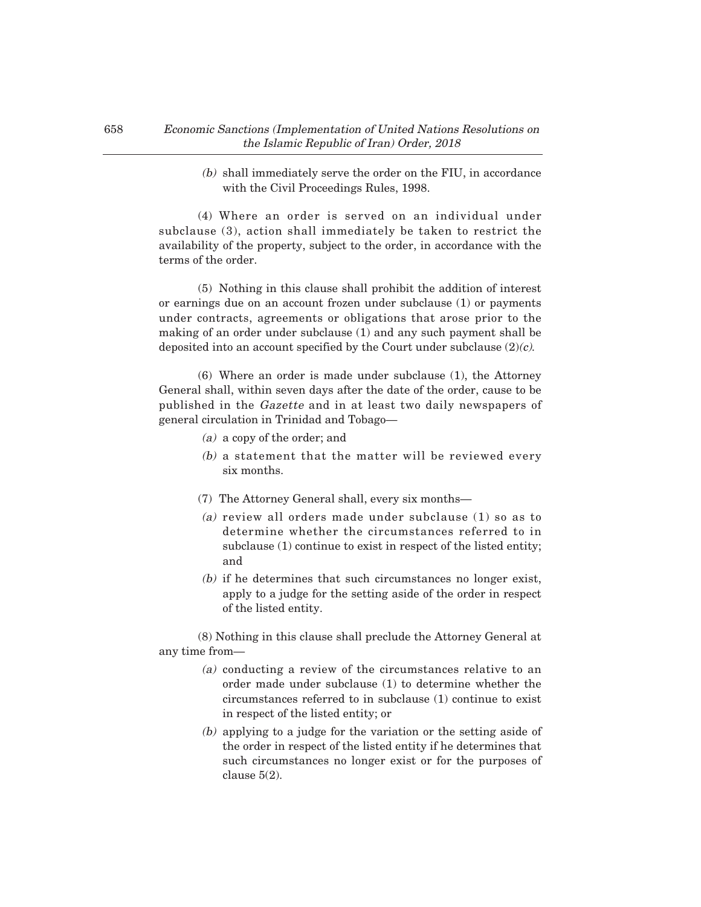(b) shall immediately serve the order on the FIU, in accordance with the Civil Proceedings Rules, 1998.

(4) Where an order is served on an individual under subclause (3), action shall immediately be taken to restrict the availability of the property, subject to the order, in accordance with the terms of the order.

(5) Nothing in this clause shall prohibit the addition of interest or earnings due on an account frozen under subclause (1) or payments under contracts, agreements or obligations that arose prior to the making of an order under subclause (1) and any such payment shall be deposited into an account specified by the Court under subclause  $(2)(c)$ .

(6) Where an order is made under subclause (1), the Attorney General shall, within seven days after the date of the order, cause to be published in the Gazette and in at least two daily newspapers of general circulation in Trinidad and Tobago–

- (a) a copy of the order; and
- (b) a statement that the matter will be reviewed every six months.
- (7) The Attorney General shall, every six months–
- (a) review all orders made under subclause (1) so as to determine whether the circumstances referred to in subclause (1) continue to exist in respect of the listed entity; and
- (b) if he determines that such circumstances no longer exist, apply to a judge for the setting aside of the order in respect of the listed entity.

(8) Nothing in this clause shall preclude the Attorney General at any time from–

- (a) conducting a review of the circumstances relative to an order made under subclause (1) to determine whether the circumstances referred to in subclause (1) continue to exist in respect of the listed entity; or
- (b) applying to a judge for the variation or the setting aside of the order in respect of the listed entity if he determines that such circumstances no longer exist or for the purposes of clause 5(2).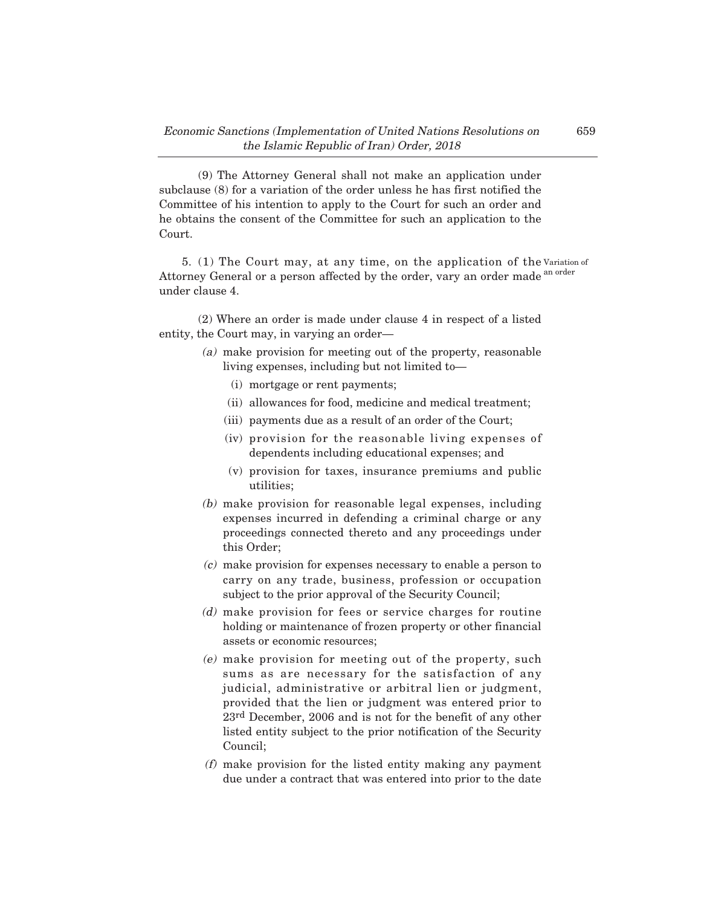(9) The Attorney General shall not make an application under subclause (8) for a variation of the order unless he has first notified the Committee of his intention to apply to the Court for such an order and he obtains the consent of the Committee for such an application to the Court.

5. (1) The Court may, at any time, on the application of the Variation of Attorney General or a person affected by the order, vary an order made <sup>an order</sup> under clause 4.

(2) Where an order is made under clause 4 in respect of a listed entity, the Court may, in varying an order–

- (a) make provision for meeting out of the property, reasonable living expenses, including but not limited to–
	- (i) mortgage or rent payments;
	- (ii) allowances for food, medicine and medical treatment;
	- (iii) payments due as a result of an order of the Court;
	- (iv) provision for the reasonable living expenses of dependents including educational expenses; and
	- (v) provision for taxes, insurance premiums and public utilities;
- (b) make provision for reasonable legal expenses, including expenses incurred in defending a criminal charge or any proceedings connected thereto and any proceedings under this Order;
- (c) make provision for expenses necessary to enable a person to carry on any trade, business, profession or occupation subject to the prior approval of the Security Council;
- (d) make provision for fees or service charges for routine holding or maintenance of frozen property or other financial assets or economic resources;
- (e) make provision for meeting out of the property, such sums as are necessary for the satisfaction of any judicial, administrative or arbitral lien or judgment, provided that the lien or judgment was entered prior to 23rd December, 2006 and is not for the benefit of any other listed entity subject to the prior notification of the Security Council;
- (f) make provision for the listed entity making any payment due under a contract that was entered into prior to the date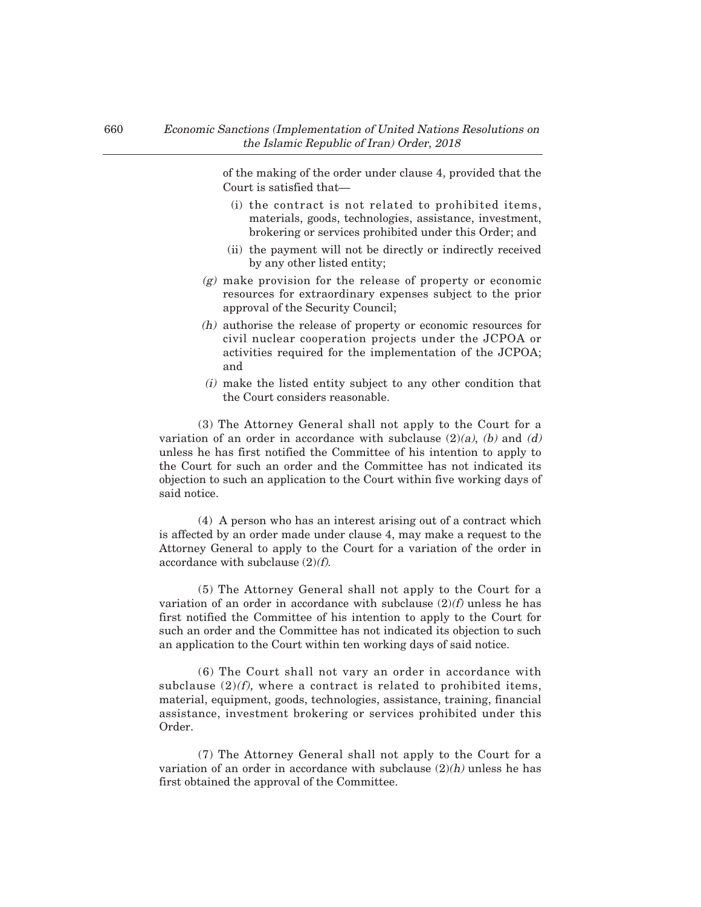of the making of the order under clause 4, provided that the Court is satisfied that–

- (i) the contract is not related to prohibited items, materials, goods, technologies, assistance, investment, brokering or services prohibited under this Order; and
- (ii) the payment will not be directly or indirectly received by any other listed entity;
- (g) make provision for the release of property or economic resources for extraordinary expenses subject to the prior approval of the Security Council;
- (h) authorise the release of property or economic resources for civil nuclear cooperation projects under the JCPOA or activities required for the implementation of the JCPOA; and
- (i) make the listed entity subject to any other condition that the Court considers reasonable.

(3) The Attorney General shall not apply to the Court for a variation of an order in accordance with subclause  $(2)(a)$ ,  $(b)$  and  $(d)$ unless he has first notified the Committee of his intention to apply to the Court for such an order and the Committee has not indicated its objection to such an application to the Court within five working days of said notice.

(4) A person who has an interest arising out of a contract which is affected by an order made under clause 4, may make a request to the Attorney General to apply to the Court for a variation of the order in accordance with subclause  $(2)(f)$ .

(5) The Attorney General shall not apply to the Court for a variation of an order in accordance with subclause  $(2)(f)$  unless he has first notified the Committee of his intention to apply to the Court for such an order and the Committee has not indicated its objection to such an application to the Court within ten working days of said notice.

(6) The Court shall not vary an order in accordance with subclause  $(2)(f)$ , where a contract is related to prohibited items, material, equipment, goods, technologies, assistance, training, financial assistance, investment brokering or services prohibited under this Order.

(7) The Attorney General shall not apply to the Court for a variation of an order in accordance with subclause  $(2)(h)$  unless he has first obtained the approval of the Committee.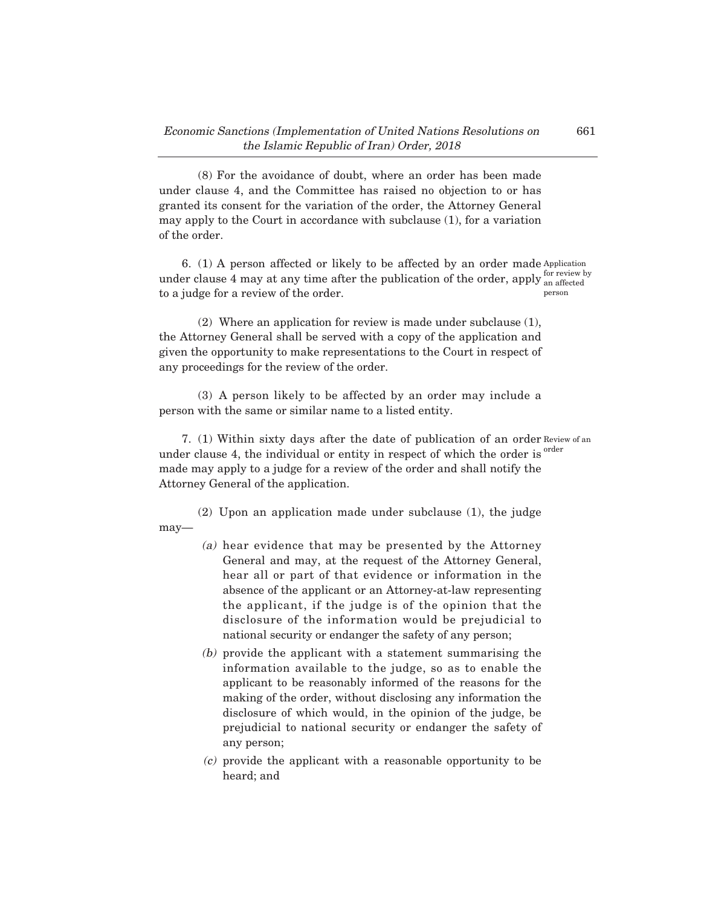(8) For the avoidance of doubt, where an order has been made under clause 4, and the Committee has raised no objection to or has granted its consent for the variation of the order, the Attorney General may apply to the Court in accordance with subclause (1), for a variation of the order.

6. (1) A person affected or likely to be affected by an order made Application under clause 4 may at any time after the publication of the order, apply  $_{\text{an\,affected}}^{\text{for review by}}$ to a judge for a review of the order. an affected person

(2) Where an application for review is made under subclause (1), the Attorney General shall be served with a copy of the application and given the opportunity to make representations to the Court in respect of any proceedings for the review of the order.

(3) A person likely to be affected by an order may include a person with the same or similar name to a listed entity.

7. (1) Within sixty days after the date of publication of an order Review of an under clause 4, the individual or entity in respect of which the order is <sup>order</sup> made may apply to a judge for a review of the order and shall notify the Attorney General of the application.

(2) Upon an application made under subclause (1), the judge may–

- (a) hear evidence that may be presented by the Attorney General and may, at the request of the Attorney General, hear all or part of that evidence or information in the absence of the applicant or an Attorney-at-law representing the applicant, if the judge is of the opinion that the disclosure of the information would be prejudicial to national security or endanger the safety of any person;
- (b) provide the applicant with a statement summarising the information available to the judge, so as to enable the applicant to be reasonably informed of the reasons for the making of the order, without disclosing any information the disclosure of which would, in the opinion of the judge, be prejudicial to national security or endanger the safety of any person;
- (c) provide the applicant with a reasonable opportunity to be heard; and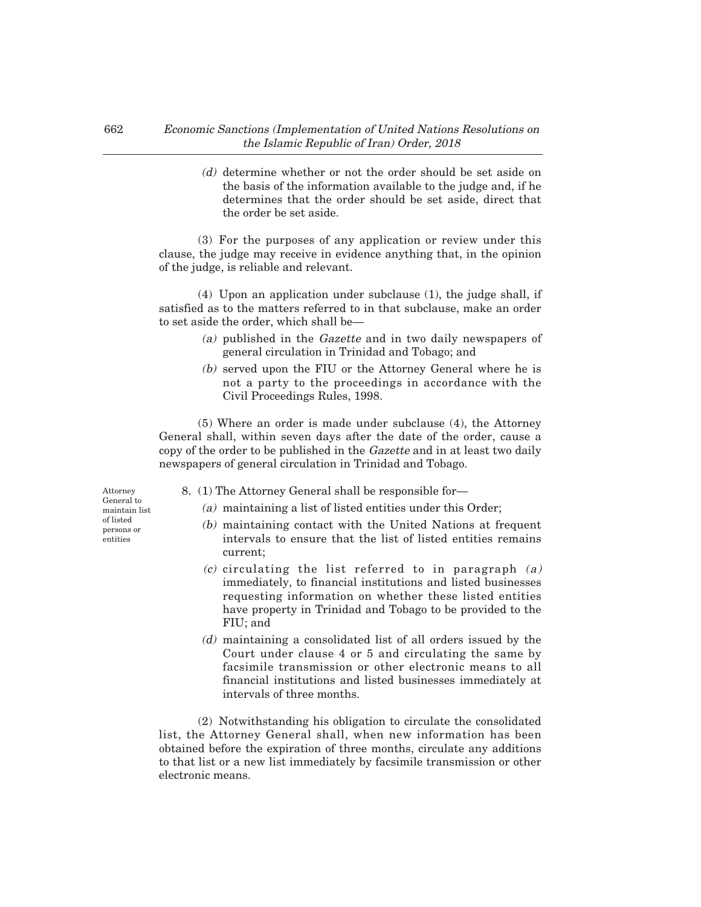(d) determine whether or not the order should be set aside on the basis of the information available to the judge and, if he determines that the order should be set aside, direct that the order be set aside.

(3) For the purposes of any application or review under this clause, the judge may receive in evidence anything that, in the opinion of the judge, is reliable and relevant.

(4) Upon an application under subclause (1), the judge shall, if satisfied as to the matters referred to in that subclause, make an order to set aside the order, which shall be–

- (a) published in the Gazette and in two daily newspapers of general circulation in Trinidad and Tobago; and
- (b) served upon the FIU or the Attorney General where he is not a party to the proceedings in accordance with the Civil Proceedings Rules, 1998.

(5) Where an order is made under subclause (4), the Attorney General shall, within seven days after the date of the order, cause a copy of the order to be published in the Gazette and in at least two daily newspapers of general circulation in Trinidad and Tobago.

Attorney General to maintain list of listed persons or entities

- 8. (1) The Attorney General shall be responsible for–
	- (a) maintaining a list of listed entities under this Order;
	- (b) maintaining contact with the United Nations at frequent intervals to ensure that the list of listed entities remains current;
	- $(c)$  circulating the list referred to in paragraph  $(a)$ immediately, to financial institutions and listed businesses requesting information on whether these listed entities have property in Trinidad and Tobago to be provided to the FIU; and
	- (d) maintaining a consolidated list of all orders issued by the Court under clause 4 or 5 and circulating the same by facsimile transmission or other electronic means to all financial institutions and listed businesses immediately at intervals of three months.

(2) Notwithstanding his obligation to circulate the consolidated list, the Attorney General shall, when new information has been obtained before the expiration of three months, circulate any additions to that list or a new list immediately by facsimile transmission or other electronic means.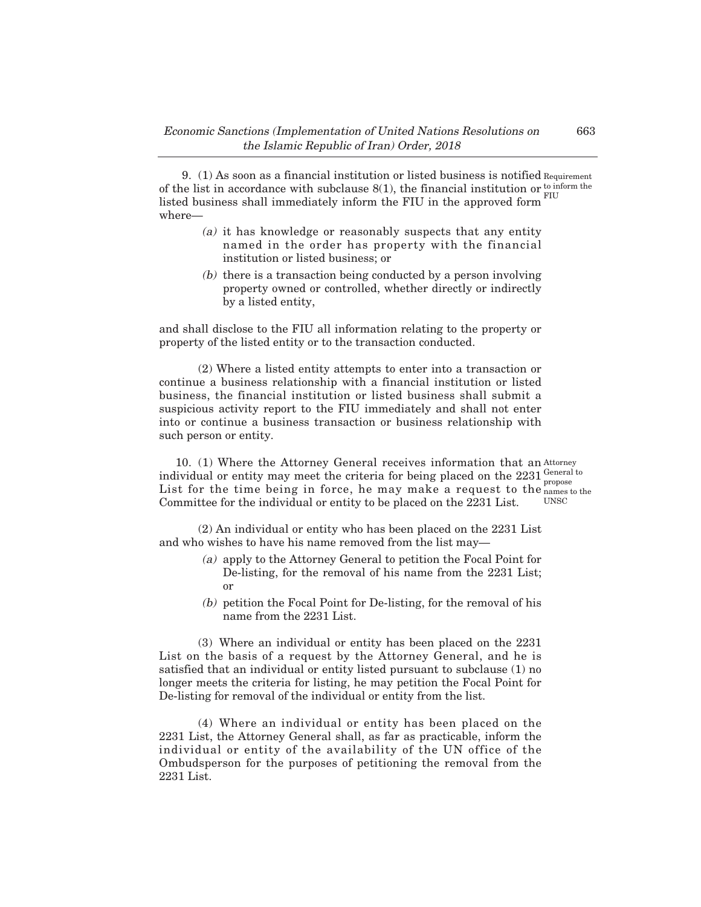9. (1) As soon as a financial institution or listed business is notified Requirement of the list in accordance with subclause  $8(1)$ , the financial institution or  $\frac{\text{to inform the}}{\text{N}}$ listed business shall immediately inform the FIU in the approved form where– FIU

- (a) it has knowledge or reasonably suspects that any entity named in the order has property with the financial institution or listed business; or
- (b) there is a transaction being conducted by a person involving property owned or controlled, whether directly or indirectly by a listed entity,

and shall disclose to the FIU all information relating to the property or property of the listed entity or to the transaction conducted.

(2) Where a listed entity attempts to enter into a transaction or continue a business relationship with a financial institution or listed business, the financial institution or listed business shall submit a suspicious activity report to the FIU immediately and shall not enter into or continue a business transaction or business relationship with such person or entity.

10. (1) Where the Attorney General receives information that an Attorney individual or entity may meet the criteria for being placed on the  $2231 \frac{\text{General to}}{\text{current}}$ List for the time being in force, he may make a request to the  $_{\text{names to the}}$ Committee for the individual or entity to be placed on the 2231 List. propose **UNSC** 

(2) An individual or entity who has been placed on the 2231 List and who wishes to have his name removed from the list may–

- (a) apply to the Attorney General to petition the Focal Point for De-listing, for the removal of his name from the 2231 List; or
- (b) petition the Focal Point for De-listing, for the removal of his name from the 2231 List.

(3) Where an individual or entity has been placed on the 2231 List on the basis of a request by the Attorney General, and he is satisfied that an individual or entity listed pursuant to subclause (1) no longer meets the criteria for listing, he may petition the Focal Point for De-listing for removal of the individual or entity from the list.

(4) Where an individual or entity has been placed on the 2231 List, the Attorney General shall, as far as practicable, inform the individual or entity of the availability of the UN office of the Ombudsperson for the purposes of petitioning the removal from the 2231 List.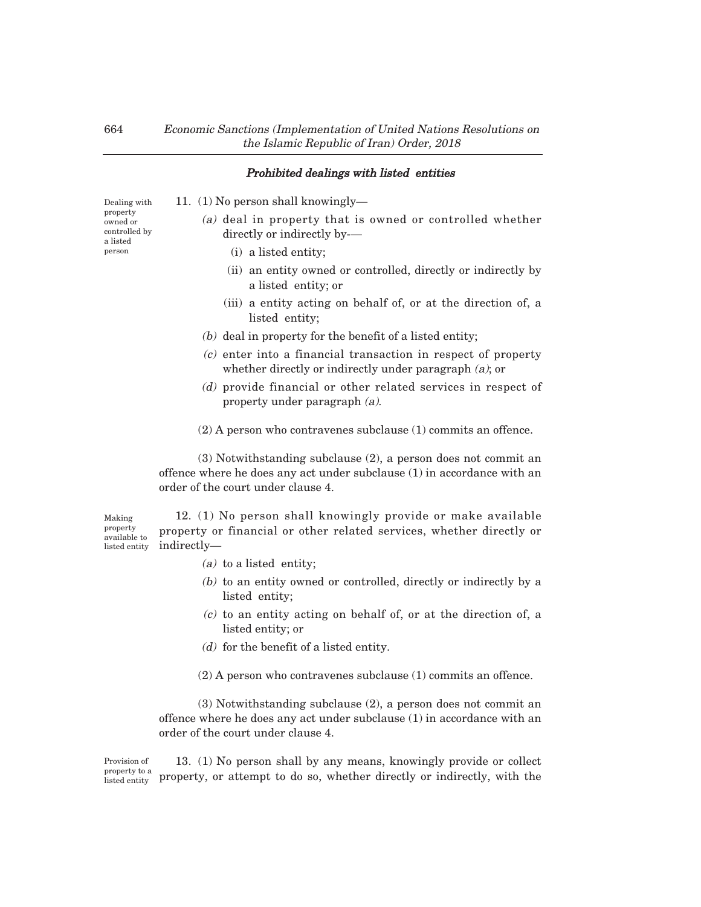## Prohibited dealings with listed entities

11. (1) No person shall knowingly–

Dealing with property owned or controlled by a listed person

- (a) deal in property that is owned or controlled whether directly or indirectly by-–
	- (i) a listed entity;
	- (ii) an entity owned or controlled, directly or indirectly by a listed entity; or
	- (iii) a entity acting on behalf of, or at the direction of, a listed entity;
- (b) deal in property for the benefit of a listed entity;
- (c) enter into a financial transaction in respect of property whether directly or indirectly under paragraph (a); or
- (d) provide financial or other related services in respect of property under paragraph (a).

(2) A person who contravenes subclause (1) commits an offence.

(3) Notwithstanding subclause (2), a person does not commit an offence where he does any act under subclause (1) in accordance with an order of the court under clause 4.

12. (1) No person shall knowingly provide or make available property or financial or other related services, whether directly or indirectly– listed entity

- (a) to a listed entity;
- (b) to an entity owned or controlled, directly or indirectly by a listed entity;
- (c) to an entity acting on behalf of, or at the direction of, a listed entity; or
- (d) for the benefit of a listed entity.
- (2) A person who contravenes subclause (1) commits an offence.

(3) Notwithstanding subclause (2), a person does not commit an offence where he does any act under subclause (1) in accordance with an order of the court under clause 4.

13. (1) No person shall by any means, knowingly provide or collect property, or attempt to do so, whether directly or indirectly, with the Provision of property to a listed entity

Making property available to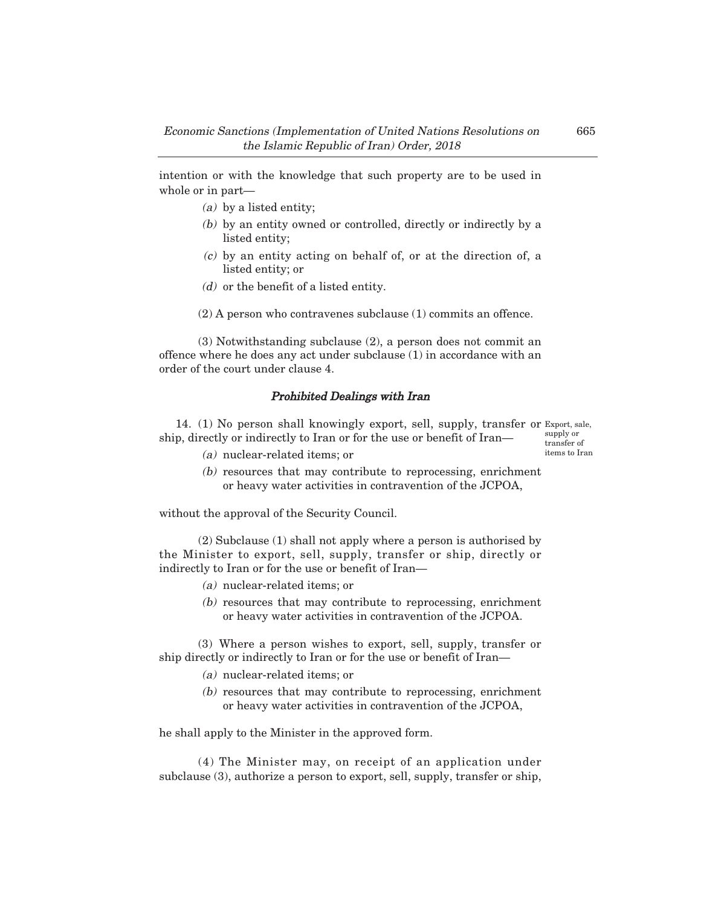intention or with the knowledge that such property are to be used in whole or in part—

- (a) by a listed entity;
- (b) by an entity owned or controlled, directly or indirectly by a listed entity;
- (c) by an entity acting on behalf of, or at the direction of, a listed entity; or
- (d) or the benefit of a listed entity.
- (2) A person who contravenes subclause (1) commits an offence.

(3) Notwithstanding subclause (2), a person does not commit an offence where he does any act under subclause (1) in accordance with an order of the court under clause 4.

## Prohibited Dealings with Iran

14. (1) No person shall knowingly export, sell, supply, transfer or Export, sale, ship, directly or indirectly to Iran or for the use or benefit of Iran– supply or

transfer of items to Iran

- (a) nuclear-related items; or
- (b) resources that may contribute to reprocessing, enrichment or heavy water activities in contravention of the JCPOA,

without the approval of the Security Council.

(2) Subclause (1) shall not apply where a person is authorised by the Minister to export, sell, supply, transfer or ship, directly or indirectly to Iran or for the use or benefit of Iran–

- (a) nuclear-related items; or
- (b) resources that may contribute to reprocessing, enrichment or heavy water activities in contravention of the JCPOA.

(3) Where a person wishes to export, sell, supply, transfer or ship directly or indirectly to Iran or for the use or benefit of Iran–

- (a) nuclear-related items; or
- (b) resources that may contribute to reprocessing, enrichment or heavy water activities in contravention of the JCPOA,

he shall apply to the Minister in the approved form.

(4) The Minister may, on receipt of an application under subclause (3), authorize a person to export, sell, supply, transfer or ship,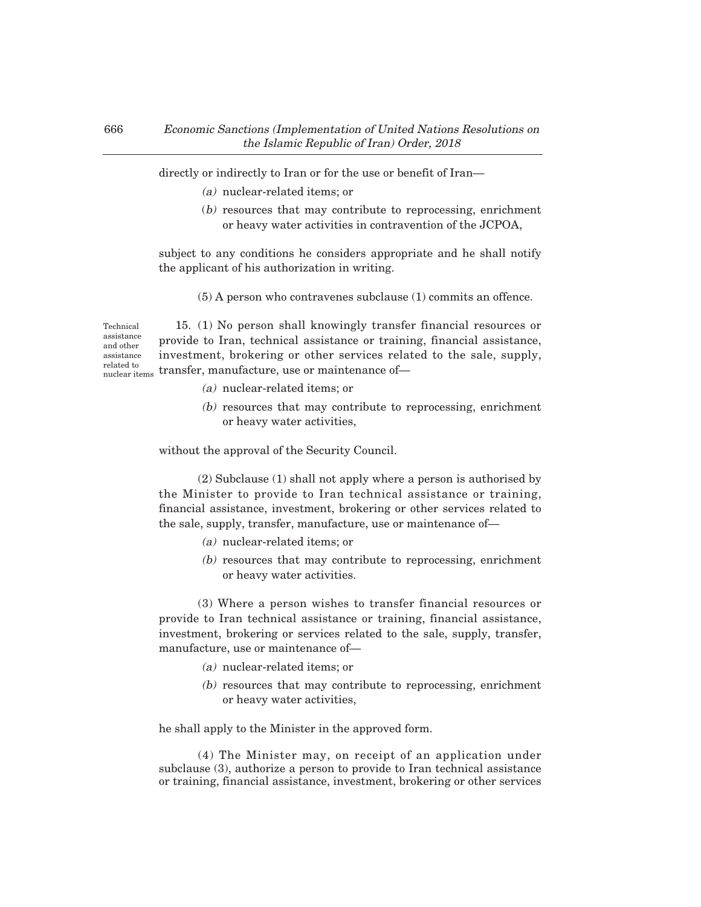directly or indirectly to Iran or for the use or benefit of Iran–

- (a) nuclear-related items; or
- (b) resources that may contribute to reprocessing, enrichment or heavy water activities in contravention of the JCPOA,

subject to any conditions he considers appropriate and he shall notify the applicant of his authorization in writing.

(5) A person who contravenes subclause (1) commits an offence.

15. (1) No person shall knowingly transfer financial resources or provide to Iran, technical assistance or training, financial assistance, investment, brokering or other services related to the sale, supply, transfer, manufacture, use or maintenance of– Technical assistance and other assistance related to nuclear items

- (a) nuclear-related items; or
- (b) resources that may contribute to reprocessing, enrichment or heavy water activities,

without the approval of the Security Council.

(2) Subclause (1) shall not apply where a person is authorised by the Minister to provide to Iran technical assistance or training, financial assistance, investment, brokering or other services related to the sale, supply, transfer, manufacture, use or maintenance of–

- (a) nuclear-related items; or
- (b) resources that may contribute to reprocessing, enrichment or heavy water activities.

(3) Where a person wishes to transfer financial resources or provide to Iran technical assistance or training, financial assistance, investment, brokering or services related to the sale, supply, transfer, manufacture, use or maintenance of–

- (a) nuclear-related items; or
- (b) resources that may contribute to reprocessing, enrichment or heavy water activities,

he shall apply to the Minister in the approved form.

(4) The Minister may, on receipt of an application under subclause (3), authorize a person to provide to Iran technical assistance or training, financial assistance, investment, brokering or other services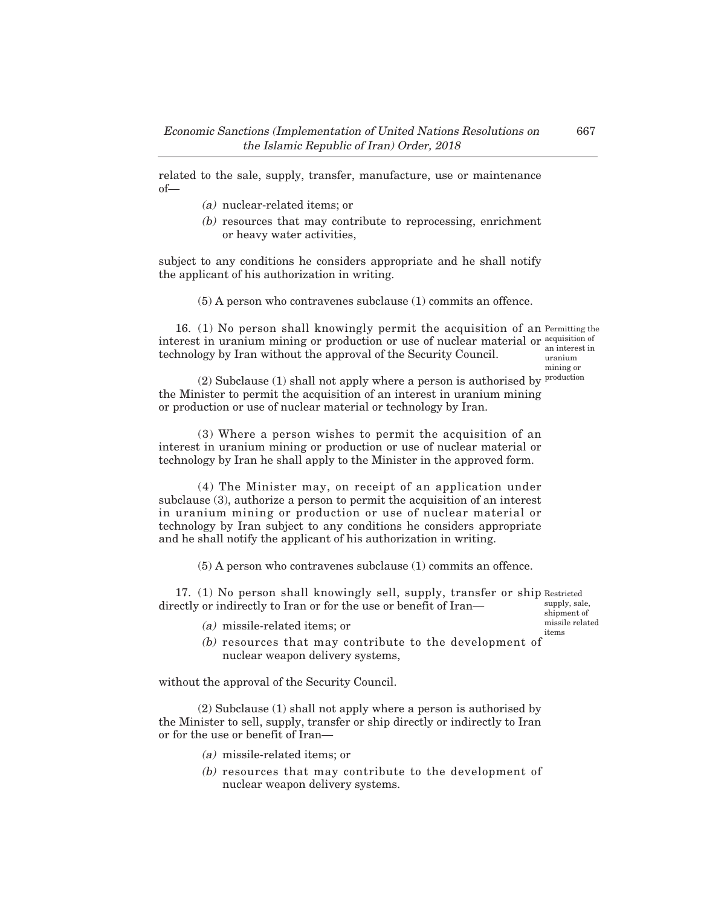related to the sale, supply, transfer, manufacture, use or maintenance  $of$ 

- (a) nuclear-related items; or
- (b) resources that may contribute to reprocessing, enrichment or heavy water activities,

subject to any conditions he considers appropriate and he shall notify the applicant of his authorization in writing.

(5) A person who contravenes subclause (1) commits an offence.

16. (1) No person shall knowingly permit the acquisition of an Permitting the interest in uranium mining or production or use of nuclear material or <sup>acquisition of</sup> technology by Iran without the approval of the Security Council. an interest in uranium

mining or

(2) Subclause (1) shall not apply where a person is authorised by <sup>production</sup> the Minister to permit the acquisition of an interest in uranium mining or production or use of nuclear material or technology by Iran.

(3) Where a person wishes to permit the acquisition of an interest in uranium mining or production or use of nuclear material or technology by Iran he shall apply to the Minister in the approved form.

(4) The Minister may, on receipt of an application under subclause (3), authorize a person to permit the acquisition of an interest in uranium mining or production or use of nuclear material or technology by Iran subject to any conditions he considers appropriate and he shall notify the applicant of his authorization in writing.

(5) A person who contravenes subclause (1) commits an offence.

17. (1) No person shall knowingly sell, supply, transfer or ship Restricted directly or indirectly to Iran or for the use or benefit of Iran– supply, sale,

(a) missile-related items; or

shipment of missile related items

(b) resources that may contribute to the development of nuclear weapon delivery systems,

without the approval of the Security Council.

(2) Subclause (1) shall not apply where a person is authorised by the Minister to sell, supply, transfer or ship directly or indirectly to Iran or for the use or benefit of Iran–

- (a) missile-related items; or
- (b) resources that may contribute to the development of nuclear weapon delivery systems.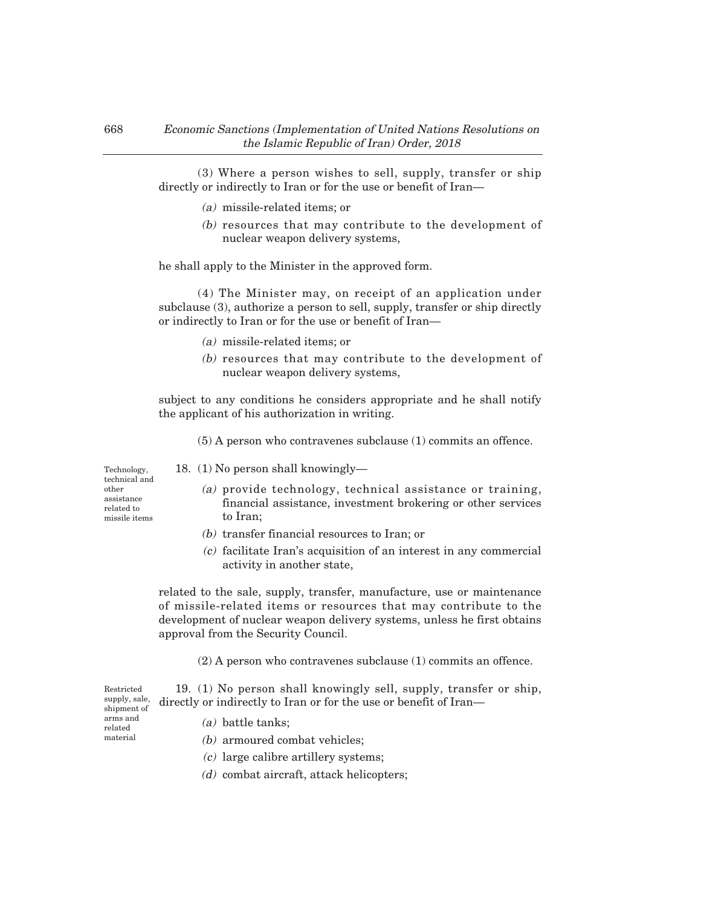(3) Where a person wishes to sell, supply, transfer or ship directly or indirectly to Iran or for the use or benefit of Iran–

- (a) missile-related items; or
- (b) resources that may contribute to the development of nuclear weapon delivery systems,

he shall apply to the Minister in the approved form.

(4) The Minister may, on receipt of an application under subclause (3), authorize a person to sell, supply, transfer or ship directly or indirectly to Iran or for the use or benefit of Iran–

- (a) missile-related items; or
- (b) resources that may contribute to the development of nuclear weapon delivery systems,

subject to any conditions he considers appropriate and he shall notify the applicant of his authorization in writing.

(5) A person who contravenes subclause (1) commits an offence.

Technology, technical and other assistance related to missile items

Restricted supply, sale, shipment of arms and related material

- 18. (1) No person shall knowingly–
	- (a) provide technology, technical assistance or training, financial assistance, investment brokering or other services to Iran;
	- (b) transfer financial resources to Iran; or
	- (c) facilitate Iran's acquisition of an interest in any commercial activity in another state,

related to the sale, supply, transfer, manufacture, use or maintenance of missile-related items or resources that may contribute to the development of nuclear weapon delivery systems, unless he first obtains approval from the Security Council.

(2) A person who contravenes subclause (1) commits an offence.

19. (1) No person shall knowingly sell, supply, transfer or ship, directly or indirectly to Iran or for the use or benefit of Iran–

- (a) battle tanks;
- (b) armoured combat vehicles;
- (c) large calibre artillery systems;
- (d) combat aircraft, attack helicopters;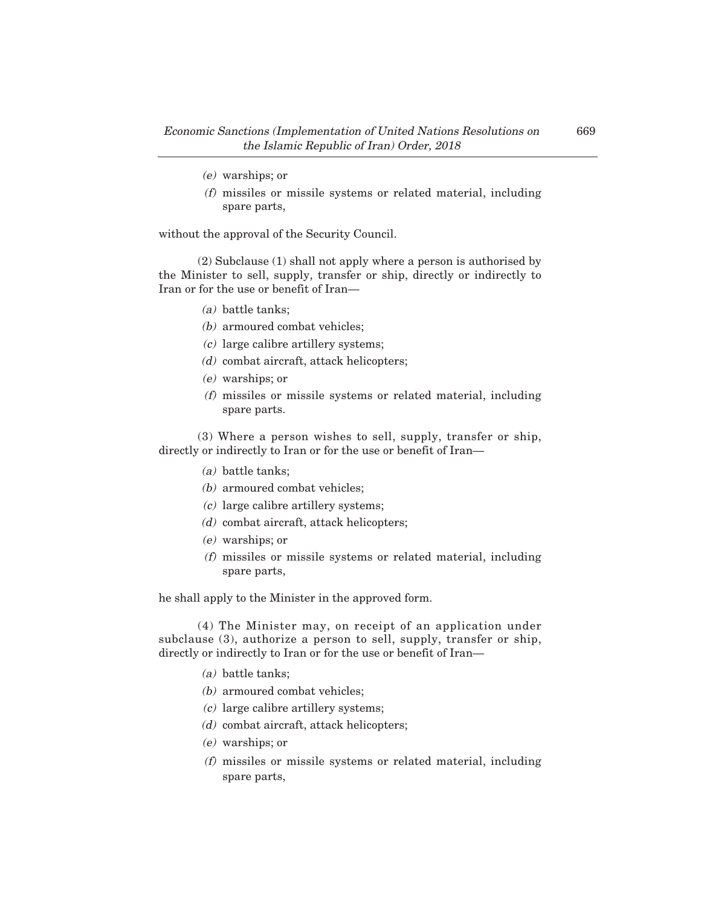- (e) warships; or
- (f) missiles or missile systems or related material, including spare parts,

without the approval of the Security Council.

(2) Subclause (1) shall not apply where a person is authorised by the Minister to sell, supply, transfer or ship, directly or indirectly to Iran or for the use or benefit of Iran–

- (a) battle tanks;
- (b) armoured combat vehicles;
- (c) large calibre artillery systems;
- (d) combat aircraft, attack helicopters;
- (e) warships; or
- (f) missiles or missile systems or related material, including spare parts.

(3) Where a person wishes to sell, supply, transfer or ship, directly or indirectly to Iran or for the use or benefit of Iran–

- (a) battle tanks;
- (b) armoured combat vehicles;
- (c) large calibre artillery systems;
- (d) combat aircraft, attack helicopters;
- (e) warships; or
- (f) missiles or missile systems or related material, including spare parts,

he shall apply to the Minister in the approved form.

(4) The Minister may, on receipt of an application under subclause (3), authorize a person to sell, supply, transfer or ship, directly or indirectly to Iran or for the use or benefit of Iran–

- (a) battle tanks;
- (b) armoured combat vehicles;
- (c) large calibre artillery systems;
- (d) combat aircraft, attack helicopters;
- (e) warships; or
- (f) missiles or missile systems or related material, including spare parts,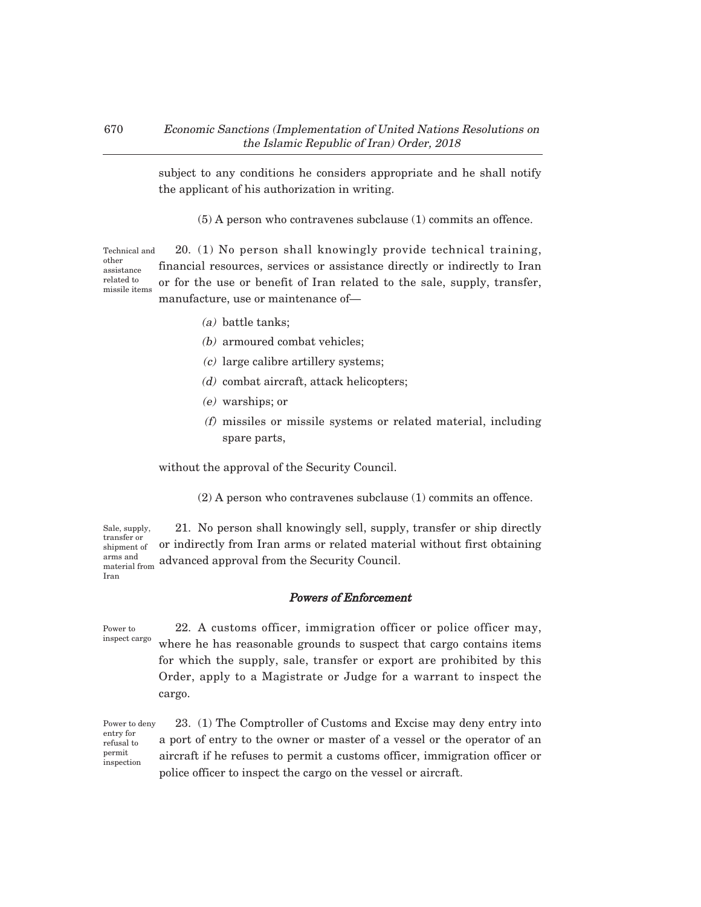subject to any conditions he considers appropriate and he shall notify the applicant of his authorization in writing.

(5) A person who contravenes subclause (1) commits an offence.

20. (1) No person shall knowingly provide technical training, financial resources, services or assistance directly or indirectly to Iran or for the use or benefit of Iran related to the sale, supply, transfer, manufacture, use or maintenance of– Technical and other assistance related to missile items

- (a) battle tanks;
- (b) armoured combat vehicles;
- (c) large calibre artillery systems;
- (d) combat aircraft, attack helicopters;
- (e) warships; or
- (f) missiles or missile systems or related material, including spare parts,

without the approval of the Security Council.

(2) A person who contravenes subclause (1) commits an offence.

21. No person shall knowingly sell, supply, transfer or ship directly or indirectly from Iran arms or related material without first obtaining advanced approval from the Security Council. Sale, supply, transfer or shipment of arms and material from Iran

## Powers of Enforcement

22. A customs officer, immigration officer or police officer may, where he has reasonable grounds to suspect that cargo contains items for which the supply, sale, transfer or export are prohibited by this Order, apply to a Magistrate or Judge for a warrant to inspect the cargo. Power to inspect cargo

23. (1) The Comptroller of Customs and Excise may deny entry into a port of entry to the owner or master of a vessel or the operator of an aircraft if he refuses to permit a customs officer, immigration officer or police officer to inspect the cargo on the vessel or aircraft. Power to deny entry for refusal to permit inspection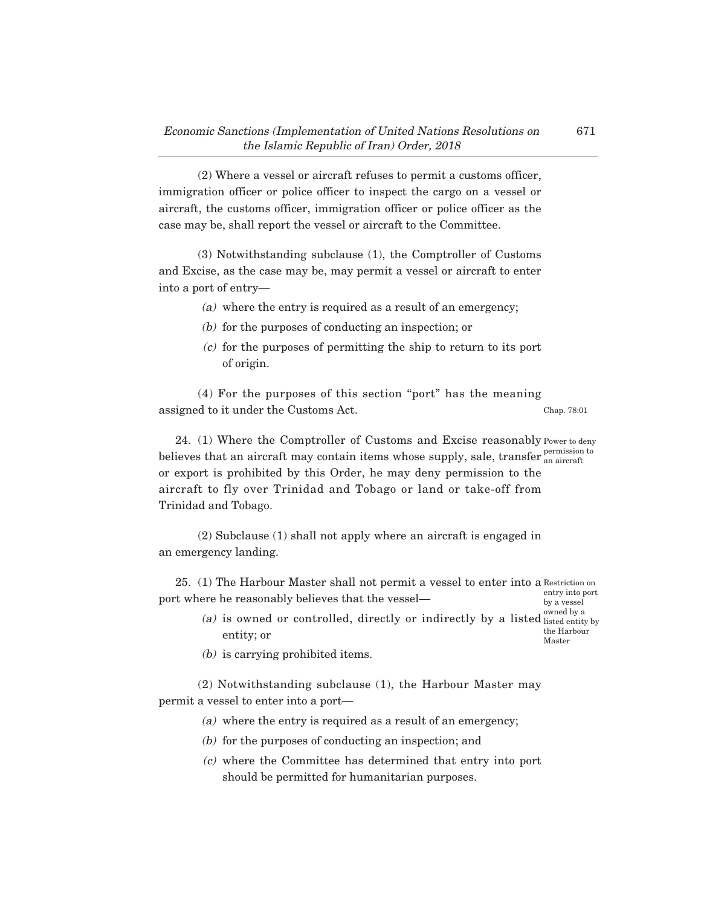(2) Where a vessel or aircraft refuses to permit a customs officer, immigration officer or police officer to inspect the cargo on a vessel or aircraft, the customs officer, immigration officer or police officer as the case may be, shall report the vessel or aircraft to the Committee.

(3) Notwithstanding subclause (1), the Comptroller of Customs and Excise, as the case may be, may permit a vessel or aircraft to enter into a port of entry–

- (a) where the entry is required as a result of an emergency;
- (b) for the purposes of conducting an inspection; or
- (c) for the purposes of permitting the ship to return to its port of origin.

(4) For the purposes of this section "port" has the meaning assigned to it under the Customs Act. Chap. 78:01

24. (1) Where the Comptroller of Customs and Excise reasonably Power to deny believes that an aircraft may contain items whose supply, sale, transfer  $_{\text{an aircraft}}^{\text{permission to}}$ or export is prohibited by this Order, he may deny permission to the aircraft to fly over Trinidad and Tobago or land or take-off from Trinidad and Tobago. an aircraft

(2) Subclause (1) shall not apply where an aircraft is engaged in an emergency landing.

25. (1) The Harbour Master shall not permit a vessel to enter into a Restriction on port where he reasonably believes that the vessel– entry into port

(a) is owned or controlled, directly or indirectly by a listed  $_{\text{listed entit}}^{\text{ounded by a}}$ by a vessel listed entity by the Harbour Master

(b) is carrying prohibited items.

entity; or

(2) Notwithstanding subclause (1), the Harbour Master may permit a vessel to enter into a port–

- (a) where the entry is required as a result of an emergency;
- (b) for the purposes of conducting an inspection; and
- (c) where the Committee has determined that entry into port should be permitted for humanitarian purposes.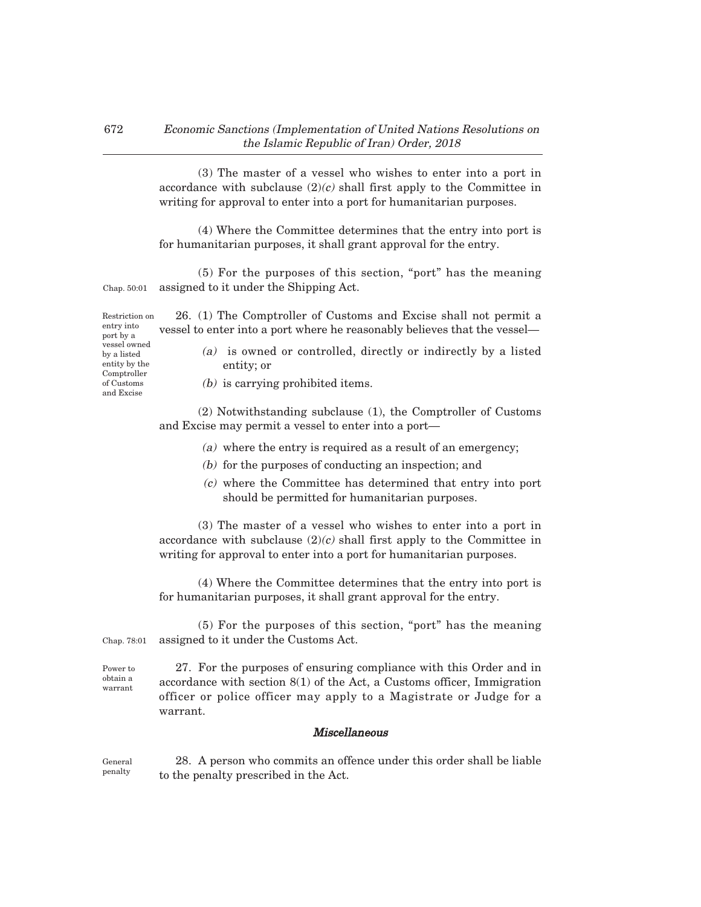(3) The master of a vessel who wishes to enter into a port in accordance with subclause  $(2)(c)$  shall first apply to the Committee in writing for approval to enter into a port for humanitarian purposes.

(4) Where the Committee determines that the entry into port is for humanitarian purposes, it shall grant approval for the entry.

(5) For the purposes of this section, "port" has the meaning assigned to it under the Shipping Act. Chap. 50:01

26. (1) The Comptroller of Customs and Excise shall not permit a vessel to enter into a port where he reasonably believes that the vessel– Restriction on

entry into port by a vessel owned by a listed entity by the Comptroller of Customs and Excise

Power to obtain a warrant

- (a) is owned or controlled, directly or indirectly by a listed entity; or
- (b) is carrying prohibited items.

(2) Notwithstanding subclause (1), the Comptroller of Customs and Excise may permit a vessel to enter into a port–

- (a) where the entry is required as a result of an emergency;
- (b) for the purposes of conducting an inspection; and
- (c) where the Committee has determined that entry into port should be permitted for humanitarian purposes.

(3) The master of a vessel who wishes to enter into a port in accordance with subclause  $(2)(c)$  shall first apply to the Committee in writing for approval to enter into a port for humanitarian purposes.

(4) Where the Committee determines that the entry into port is for humanitarian purposes, it shall grant approval for the entry.

(5) For the purposes of this section, "port" has the meaning assigned to it under the Customs Act. Chap. 78:01

27. For the purposes of ensuring compliance with this Order and in accordance with section 8(1) of the Act, a Customs officer, Immigration officer or police officer may apply to a Magistrate or Judge for a warrant.

## Miscellaneous

28. A person who commits an offence under this order shall be liable to the penalty prescribed in the Act. General penalty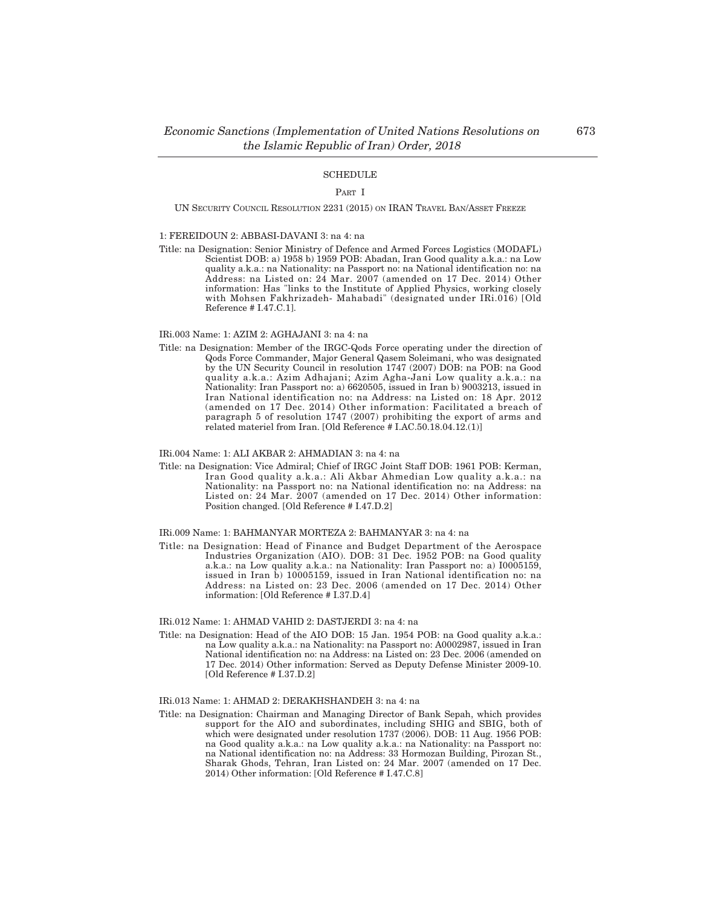#### SCHEDULE

#### PART I

UN SECURITY COUNCIL RESOLUTION 2231 (2015) ON IRAN TRAVEL BAN/ASSET FREEZE

#### 1: FEREIDOUN 2: ABBASI-DAVANI 3: na 4: na

Title: na Designation: Senior Ministry of Defence and Armed Forces Logistics (MODAFL) Scientist DOB: a) 1958 b) 1959 POB: Abadan, Iran Good quality a.k.a.: na Low quality a.k.a.: na Nationality: na Passport no: na National identification no: na Address: na Listed on: 24 Mar. 2007 (amended on 17 Dec. 2014) Other information: Has "links to the Institute of Applied Physics, working closely with Mohsen Fakhrizadeh- Mahabadi" (designated under IRi.016) [Old Reference # I.47.C.1].

## IRi.003 Name: 1: AZIM 2: AGHAJANI 3: na 4: na

Title: na Designation: Member of the IRGC-Qods Force operating under the direction of Qods Force Commander, Major General Qasem Soleimani, who was designated by the UN Security Council in resolution 1747 (2007) DOB: na POB: na Good quality a.k.a.: Azim Adhajani; Azim Agha-Jani Low quality a.k.a.: na Nationality: Iran Passport no: a) 6620505, issued in Iran b) 9003213, issued in Iran National identification no: na Address: na Listed on: 18 Apr. 2012 (amended on 17 Dec. 2014) Other information: Facilitated a breach of paragraph 5 of resolution 1747 (2007) prohibiting the export of arms and related materiel from Iran. [Old Reference # I.AC.50.18.04.12.(1)]

## IRi.004 Name: 1: ALI AKBAR 2: AHMADIAN 3: na 4: na

Title: na Designation: Vice Admiral; Chief of IRGC Joint Staff DOB: 1961 POB: Kerman, Iran Good quality a.k.a.: Ali Akbar Ahmedian Low quality a.k.a.: na Nationality: na Passport no: na National identification no: na Address: na Listed on: 24 Mar. 2007 (amended on 17 Dec. 2014) Other information: Position changed. [Old Reference # I.47.D.2]

#### IRi.009 Name: 1: BAHMANYAR MORTEZA 2: BAHMANYAR 3: na 4: na

Title: na Designation: Head of Finance and Budget Department of the Aerospace Industries Organization (AIO). DOB: 31 Dec. 1952 POB: na Good quality a.k.a.: na Low quality a.k.a.: na Nationality: Iran Passport no: a)  $10005159$ , issued in Iran b) 10005159, issued in Iran National identification no: na Address: na Listed on: 23 Dec. 2006 (amended on 17 Dec. 2014) Other information: [Old Reference # I.37.D.4]

#### IRi.012 Name: 1: AHMAD VAHID 2: DASTJERDI 3: na 4: na

Title: na Designation: Head of the AIO DOB: 15 Jan. 1954 POB: na Good quality a.k.a.: na Low quality a.k.a.: na Nationality: na Passport no: A0002987, issued in Iran National identification no: na Address: na Listed on: 23 Dec. 2006 (amended on 17 Dec. 2014) Other information: Served as Deputy Defense Minister 2009-10. [Old Reference # I.37.D.2]

#### IRi.013 Name: 1: AHMAD 2: DERAKHSHANDEH 3: na 4: na

Title: na Designation: Chairman and Managing Director of Bank Sepah, which provides support for the AIO and subordinates, including SHIG and SBIG, both of which were designated under resolution 1737 (2006). DOB: 11 Aug. 1956 POB: na Good quality a.k.a.: na Low quality a.k.a.: na Nationality: na Passport no: na National identification no: na Address: 33 Hormozan Building, Pirozan St., Sharak Ghods, Tehran, Iran Listed on: 24 Mar. 2007 (amended on 17 Dec. 2014) Other information: [Old Reference # I.47.C.8]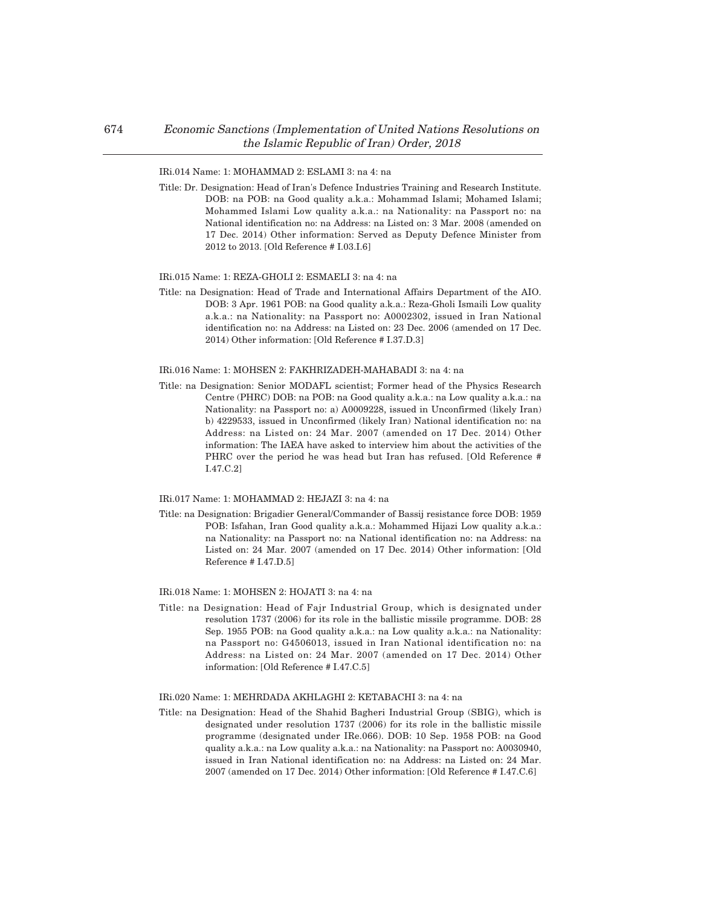IRi.014 Name: 1: MOHAMMAD 2: ESLAMI 3: na 4: na

Title: Dr. Designation: Head of Iran's Defence Industries Training and Research Institute. DOB: na POB: na Good quality a.k.a.: Mohammad Islami; Mohamed Islami; Mohammed Islami Low quality a.k.a.: na Nationality: na Passport no: na National identification no: na Address: na Listed on: 3 Mar. 2008 (amended on 17 Dec. 2014) Other information: Served as Deputy Defence Minister from 2012 to 2013. [Old Reference # I.03.I.6]

#### IRi.015 Name: 1: REZA-GHOLI 2: ESMAELI 3: na 4: na

Title: na Designation: Head of Trade and International Affairs Department of the AIO. DOB: 3 Apr. 1961 POB: na Good quality a.k.a.: Reza-Gholi Ismaili Low quality a.k.a.: na Nationality: na Passport no: A0002302, issued in Iran National identification no: na Address: na Listed on: 23 Dec. 2006 (amended on 17 Dec. 2014) Other information: [Old Reference # I.37.D.3]

#### IRi.016 Name: 1: MOHSEN 2: FAKHRIZADEH-MAHABADI 3: na 4: na

Title: na Designation: Senior MODAFL scientist; Former head of the Physics Research Centre (PHRC) DOB: na POB: na Good quality a.k.a.: na Low quality a.k.a.: na Nationality: na Passport no: a) A0009228, issued in Unconfirmed (likely Iran) b) 4229533, issued in Unconfirmed (likely Iran) National identification no: na Address: na Listed on: 24 Mar. 2007 (amended on 17 Dec. 2014) Other information: The IAEA have asked to interview him about the activities of the PHRC over the period he was head but Iran has refused. [Old Reference # I.47.C.2]

#### IRi.017 Name: 1: MOHAMMAD 2: HEJAZI 3: na 4: na

Title: na Designation: Brigadier General/Commander of Bassij resistance force DOB: 1959 POB: Isfahan, Iran Good quality a.k.a.: Mohammed Hijazi Low quality a.k.a.: na Nationality: na Passport no: na National identification no: na Address: na Listed on: 24 Mar. 2007 (amended on 17 Dec. 2014) Other information: [Old Reference # I.47.D.5]

#### IRi.018 Name: 1: MOHSEN 2: HOJATI 3: na 4: na

Title: na Designation: Head of Fajr Industrial Group, which is designated under resolution 1737 (2006) for its role in the ballistic missile programme. DOB: 28 Sep. 1955 POB: na Good quality a.k.a.: na Low quality a.k.a.: na Nationality: na Passport no: G4506013, issued in Iran National identification no: na Address: na Listed on: 24 Mar. 2007 (amended on 17 Dec. 2014) Other information: [Old Reference # I.47.C.5]

#### IRi.020 Name: 1: MEHRDADA AKHLAGHI 2: KETABACHI 3: na 4: na

Title: na Designation: Head of the Shahid Bagheri Industrial Group (SBIG), which is designated under resolution 1737 (2006) for its role in the ballistic missile programme (designated under IRe.066). DOB: 10 Sep. 1958 POB: na Good quality a.k.a.: na Low quality a.k.a.: na Nationality: na Passport no: A0030940, issued in Iran National identification no: na Address: na Listed on: 24 Mar. 2007 (amended on 17 Dec. 2014) Other information: [Old Reference # I.47.C.6]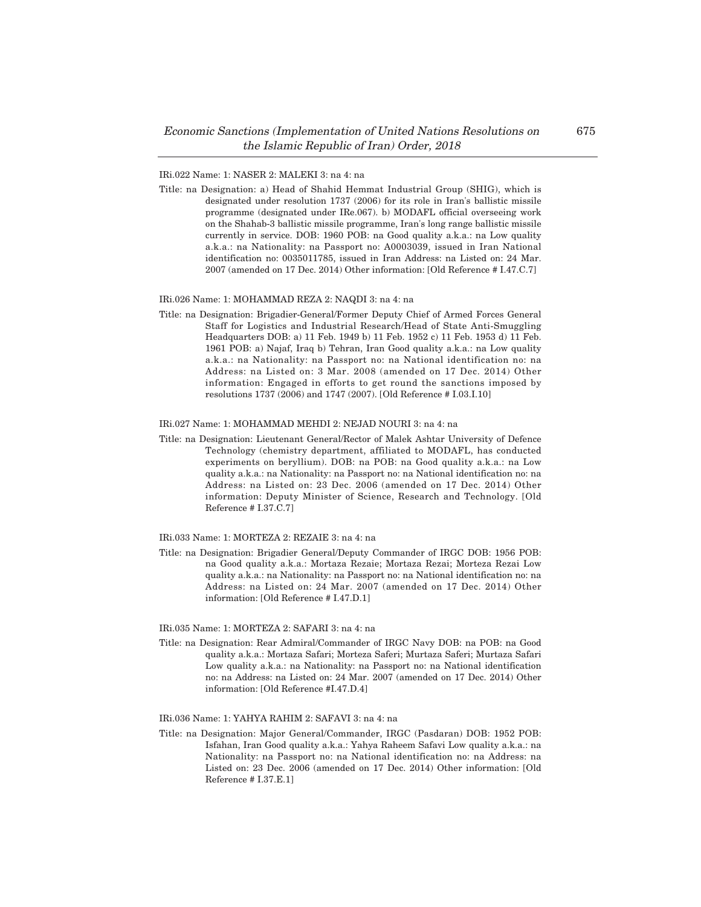## IRi.022 Name: 1: NASER 2: MALEKI 3: na 4: na

Title: na Designation: a) Head of Shahid Hemmat Industrial Group (SHIG), which is designated under resolution 1737 (2006) for its role in Iran's ballistic missile programme (designated under IRe.067). b) MODAFL official overseeing work on the Shahab-3 ballistic missile programme, Iran's long range ballistic missile currently in service. DOB: 1960 POB: na Good quality a.k.a.: na Low quality a.k.a.: na Nationality: na Passport no: A0003039, issued in Iran National identification no: 0035011785, issued in Iran Address: na Listed on: 24 Mar. 2007 (amended on 17 Dec. 2014) Other information: [Old Reference # I.47.C.7]

#### IRi.026 Name: 1: MOHAMMAD REZA 2: NAQDI 3: na 4: na

Title: na Designation: Brigadier-General/Former Deputy Chief of Armed Forces General Staff for Logistics and Industrial Research/Head of State Anti-Smuggling Headquarters DOB: a) 11 Feb. 1949 b) 11 Feb. 1952 c) 11 Feb. 1953 d) 11 Feb. 1961 POB: a) Najaf, Iraq b) Tehran, Iran Good quality a.k.a.: na Low quality a.k.a.: na Nationality: na Passport no: na National identification no: na Address: na Listed on: 3 Mar. 2008 (amended on 17 Dec. 2014) Other information: Engaged in efforts to get round the sanctions imposed by resolutions 1737 (2006) and 1747 (2007). [Old Reference # I.03.I.10]

## IRi.027 Name: 1: MOHAMMAD MEHDI 2: NEJAD NOURI 3: na 4: na

Title: na Designation: Lieutenant General/Rector of Malek Ashtar University of Defence Technology (chemistry department, affiliated to MODAFL, has conducted experiments on beryllium). DOB: na POB: na Good quality a.k.a.: na Low quality a.k.a.: na Nationality: na Passport no: na National identification no: na Address: na Listed on: 23 Dec. 2006 (amended on 17 Dec. 2014) Other information: Deputy Minister of Science, Research and Technology. [Old Reference # I.37.C.7]

#### IRi.033 Name: 1: MORTEZA 2: REZAIE 3: na 4: na

Title: na Designation: Brigadier General/Deputy Commander of IRGC DOB: 1956 POB: na Good quality a.k.a.: Mortaza Rezaie; Mortaza Rezai; Morteza Rezai Low quality a.k.a.: na Nationality: na Passport no: na National identification no: na Address: na Listed on: 24 Mar. 2007 (amended on 17 Dec. 2014) Other information: [Old Reference # I.47.D.1]

#### IRi.035 Name: 1: MORTEZA 2: SAFARI 3: na 4: na

Title: na Designation: Rear Admiral/Commander of IRGC Navy DOB: na POB: na Good quality a.k.a.: Mortaza Safari; Morteza Saferi; Murtaza Saferi; Murtaza Safari Low quality a.k.a.: na Nationality: na Passport no: na National identification no: na Address: na Listed on: 24 Mar. 2007 (amended on 17 Dec. 2014) Other information: [Old Reference #I.47.D.4]

## IRi.036 Name: 1: YAHYA RAHIM 2: SAFAVI 3: na 4: na

Title: na Designation: Major General/Commander, IRGC (Pasdaran) DOB: 1952 POB: Isfahan, Iran Good quality a.k.a.: Yahya Raheem Safavi Low quality a.k.a.: na Nationality: na Passport no: na National identification no: na Address: na Listed on: 23 Dec. 2006 (amended on 17 Dec. 2014) Other information: [Old Reference # I.37.E.1]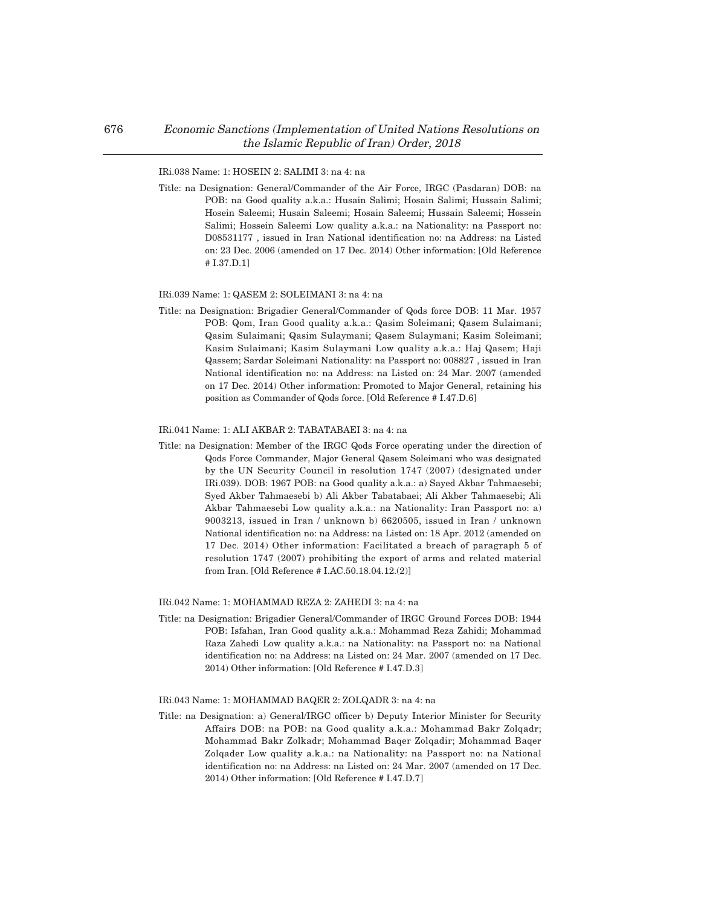IRi.038 Name: 1: HOSEIN 2: SALIMI 3: na 4: na

Title: na Designation: General/Commander of the Air Force, IRGC (Pasdaran) DOB: na POB: na Good quality a.k.a.: Husain Salimi; Hosain Salimi; Hussain Salimi; Hosein Saleemi; Husain Saleemi; Hosain Saleemi; Hussain Saleemi; Hossein Salimi; Hossein Saleemi Low quality a.k.a.: na Nationality: na Passport no: D08531177 , issued in Iran National identification no: na Address: na Listed on: 23 Dec. 2006 (amended on 17 Dec. 2014) Other information: [Old Reference # I.37.D.1]

#### IRi.039 Name: 1: QASEM 2: SOLEIMANI 3: na 4: na

Title: na Designation: Brigadier General/Commander of Qods force DOB: 11 Mar. 1957 POB: Qom, Iran Good quality a.k.a.: Qasim Soleimani; Qasem Sulaimani; Qasim Sulaimani; Qasim Sulaymani; Qasem Sulaymani; Kasim Soleimani; Kasim Sulaimani; Kasim Sulaymani Low quality a.k.a.: Haj Qasem; Haji Qassem; Sardar Soleimani Nationality: na Passport no: 008827 , issued in Iran National identification no: na Address: na Listed on: 24 Mar. 2007 (amended on 17 Dec. 2014) Other information: Promoted to Major General, retaining his position as Commander of Qods force. [Old Reference # I.47.D.6]

## IRi.041 Name: 1: ALI AKBAR 2: TABATABAEI 3: na 4: na

Title: na Designation: Member of the IRGC Qods Force operating under the direction of Qods Force Commander, Major General Qasem Soleimani who was designated by the UN Security Council in resolution 1747 (2007) (designated under IRi.039). DOB: 1967 POB: na Good quality a.k.a.: a) Sayed Akbar Tahmaesebi; Syed Akber Tahmaesebi b) Ali Akber Tabatabaei; Ali Akber Tahmaesebi; Ali Akbar Tahmaesebi Low quality a.k.a.: na Nationality: Iran Passport no: a) 9003213, issued in Iran / unknown b) 6620505, issued in Iran / unknown National identification no: na Address: na Listed on: 18 Apr. 2012 (amended on 17 Dec. 2014) Other information: Facilitated a breach of paragraph 5 of resolution 1747 (2007) prohibiting the export of arms and related material from Iran. [Old Reference # I.AC.50.18.04.12.(2)]

#### IRi.042 Name: 1: MOHAMMAD REZA 2: ZAHEDI 3: na 4: na

Title: na Designation: Brigadier General/Commander of IRGC Ground Forces DOB: 1944 POB: Isfahan, Iran Good quality a.k.a.: Mohammad Reza Zahidi; Mohammad Raza Zahedi Low quality a.k.a.: na Nationality: na Passport no: na National identification no: na Address: na Listed on: 24 Mar. 2007 (amended on 17 Dec. 2014) Other information: [Old Reference # I.47.D.3]

#### IRi.043 Name: 1: MOHAMMAD BAQER 2: ZOLQADR 3: na 4: na

Title: na Designation: a) General/IRGC officer b) Deputy Interior Minister for Security Affairs DOB: na POB: na Good quality a.k.a.: Mohammad Bakr Zolqadr; Mohammad Bakr Zolkadr; Mohammad Baqer Zolqadir; Mohammad Baqer Zolqader Low quality a.k.a.: na Nationality: na Passport no: na National identification no: na Address: na Listed on: 24 Mar. 2007 (amended on 17 Dec. 2014) Other information: [Old Reference # I.47.D.7]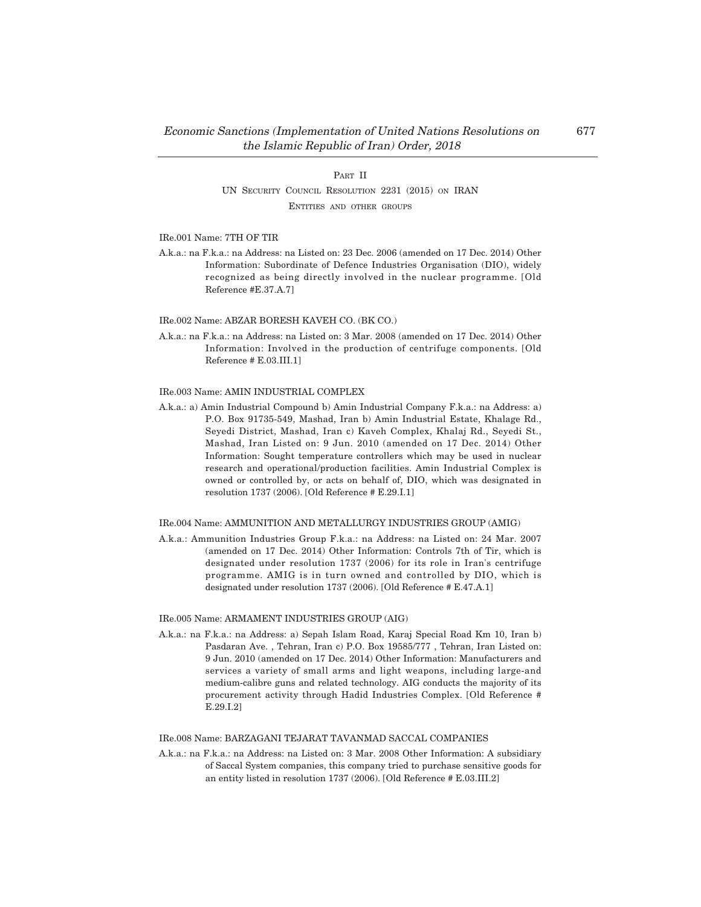## PART II

UN SECURITY COUNCIL RESOLUTION 2231 (2015) ON IRAN ENTITIES AND OTHER GROUPS

#### IRe.001 Name: 7TH OF TIR

A.k.a.: na F.k.a.: na Address: na Listed on: 23 Dec. 2006 (amended on 17 Dec. 2014) Other Information: Subordinate of Defence Industries Organisation (DIO), widely recognized as being directly involved in the nuclear programme. [Old Reference #E.37.A.7]

## IRe.002 Name: ABZAR BORESH KAVEH CO. (BK CO.)

A.k.a.: na F.k.a.: na Address: na Listed on: 3 Mar. 2008 (amended on 17 Dec. 2014) Other Information: Involved in the production of centrifuge components. [Old Reference # E.03.III.1]

## IRe.003 Name: AMIN INDUSTRIAL COMPLEX

A.k.a.: a) Amin Industrial Compound b) Amin Industrial Company F.k.a.: na Address: a) P.O. Box 91735-549, Mashad, Iran b) Amin Industrial Estate, Khalage Rd., Seyedi District, Mashad, Iran c) Kaveh Complex, Khalaj Rd., Seyedi St., Mashad, Iran Listed on: 9 Jun. 2010 (amended on 17 Dec. 2014) Other Information: Sought temperature controllers which may be used in nuclear research and operational/production facilities. Amin Industrial Complex is owned or controlled by, or acts on behalf of, DIO, which was designated in resolution 1737 (2006). [Old Reference # E.29.I.1]

## IRe.004 Name: AMMUNITION AND METALLURGY INDUSTRIES GROUP (AMIG)

A.k.a.: Ammunition Industries Group F.k.a.: na Address: na Listed on: 24 Mar. 2007 (amended on 17 Dec. 2014) Other Information: Controls 7th of Tir, which is designated under resolution 1737 (2006) for its role in Iran's centrifuge programme. AMIG is in turn owned and controlled by DIO, which is designated under resolution 1737 (2006). [Old Reference # E.47.A.1]

## IRe.005 Name: ARMAMENT INDUSTRIES GROUP (AIG)

A.k.a.: na F.k.a.: na Address: a) Sepah Islam Road, Karaj Special Road Km 10, Iran b) Pasdaran Ave. , Tehran, Iran c) P.O. Box 19585/777 , Tehran, Iran Listed on: 9 Jun. 2010 (amended on 17 Dec. 2014) Other Information: Manufacturers and services a variety of small arms and light weapons, including large-and medium-calibre guns and related technology. AIG conducts the majority of its procurement activity through Hadid Industries Complex. [Old Reference # E.29.I.2]

## IRe.008 Name: BARZAGANI TEJARAT TAVANMAD SACCAL COMPANIES

A.k.a.: na F.k.a.: na Address: na Listed on: 3 Mar. 2008 Other Information: A subsidiary of Saccal System companies, this company tried to purchase sensitive goods for an entity listed in resolution 1737 (2006). [Old Reference # E.03.III.2]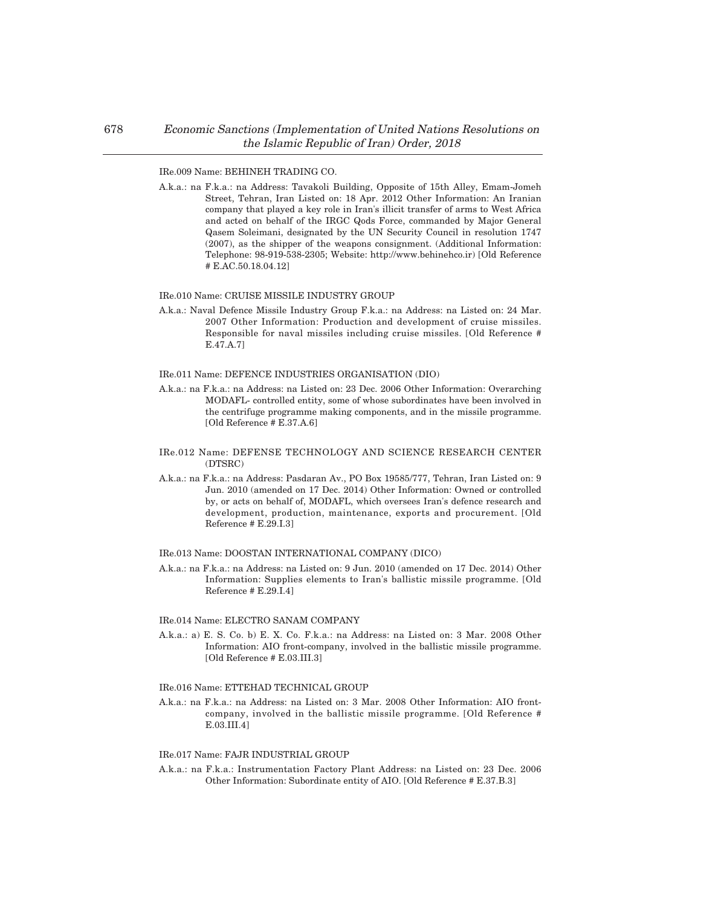## IRe.009 Name: BEHINEH TRADING CO.

A.k.a.: na F.k.a.: na Address: Tavakoli Building, Opposite of 15th Alley, Emam-Jomeh Street, Tehran, Iran Listed on: 18 Apr. 2012 Other Information: An Iranian company that played a key role in Iran's illicit transfer of arms to West Africa and acted on behalf of the IRGC Qods Force, commanded by Major General Qasem Soleimani, designated by the UN Security Council in resolution 1747 (2007), as the shipper of the weapons consignment. (Additional Information: Telephone: 98-919-538-2305; Website: http://www.behinehco.ir) [Old Reference # E.AC.50.18.04.12]

#### IRe.010 Name: CRUISE MISSILE INDUSTRY GROUP

A.k.a.: Naval Defence Missile Industry Group F.k.a.: na Address: na Listed on: 24 Mar. 2007 Other Information: Production and development of cruise missiles. Responsible for naval missiles including cruise missiles. [Old Reference # E.47.A.7]

#### IRe.011 Name: DEFENCE INDUSTRIES ORGANISATION (DIO)

- A.k.a.: na F.k.a.: na Address: na Listed on: 23 Dec. 2006 Other Information: Overarching MODAFL- controlled entity, some of whose subordinates have been involved in the centrifuge programme making components, and in the missile programme. [Old Reference # E.37.A.6]
- IRe.012 Name: DEFENSE TECHNOLOGY AND SCIENCE RESEARCH CENTER (DTSRC)
- A.k.a.: na F.k.a.: na Address: Pasdaran Av., PO Box 19585/777, Tehran, Iran Listed on: 9 Jun. 2010 (amended on 17 Dec. 2014) Other Information: Owned or controlled by, or acts on behalf of, MODAFL, which oversees Iran's defence research and development, production, maintenance, exports and procurement. [Old Reference # E.29.I.3]

## IRe.013 Name: DOOSTAN INTERNATIONAL COMPANY (DICO)

A.k.a.: na F.k.a.: na Address: na Listed on: 9 Jun. 2010 (amended on 17 Dec. 2014) Other Information: Supplies elements to Iran's ballistic missile programme. [Old Reference # E.29.I.4]

#### IRe.014 Name: ELECTRO SANAM COMPANY

A.k.a.: a) E. S. Co. b) E. X. Co. F.k.a.: na Address: na Listed on: 3 Mar. 2008 Other Information: AIO front-company, involved in the ballistic missile programme. [Old Reference # E.03.III.3]

## IRe.016 Name: ETTEHAD TECHNICAL GROUP

A.k.a.: na F.k.a.: na Address: na Listed on: 3 Mar. 2008 Other Information: AIO frontcompany, involved in the ballistic missile programme. [Old Reference # E.03.III.4]

## IRe.017 Name: FAJR INDUSTRIAL GROUP

A.k.a.: na F.k.a.: Instrumentation Factory Plant Address: na Listed on: 23 Dec. 2006 Other Information: Subordinate entity of AIO. [Old Reference # E.37.B.3]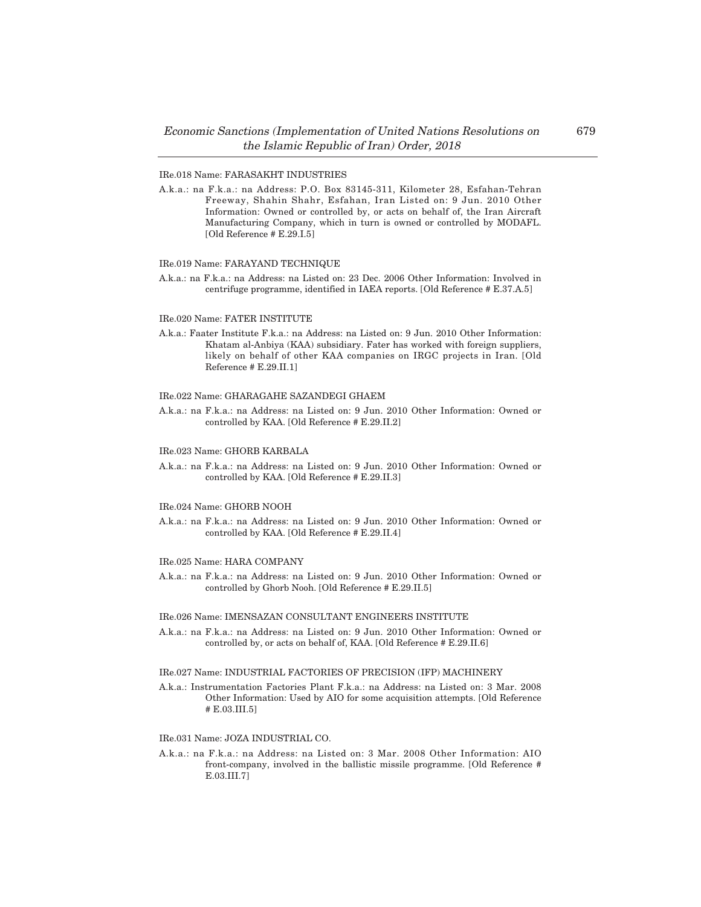## IRe.018 Name: FARASAKHT INDUSTRIES

A.k.a.: na F.k.a.: na Address: P.O. Box 83145-311, Kilometer 28, Esfahan-Tehran Freeway, Shahin Shahr, Esfahan, Iran Listed on: 9 Jun. 2010 Other Information: Owned or controlled by, or acts on behalf of, the Iran Aircraft Manufacturing Company, which in turn is owned or controlled by MODAFL. [Old Reference # E.29.I.5]

## IRe.019 Name: FARAYAND TECHNIQUE

A.k.a.: na F.k.a.: na Address: na Listed on: 23 Dec. 2006 Other Information: Involved in centrifuge programme, identified in IAEA reports. [Old Reference # E.37.A.5]

#### IRe.020 Name: FATER INSTITUTE

A.k.a.: Faater Institute F.k.a.: na Address: na Listed on: 9 Jun. 2010 Other Information: Khatam al-Anbiya (KAA) subsidiary. Fater has worked with foreign suppliers, likely on behalf of other KAA companies on IRGC projects in Iran. [Old Reference # E.29.II.1]

#### IRe.022 Name: GHARAGAHE SAZANDEGI GHAEM

A.k.a.: na F.k.a.: na Address: na Listed on: 9 Jun. 2010 Other Information: Owned or controlled by KAA. [Old Reference # E.29.II.2]

#### IRe.023 Name: GHORB KARBALA

A.k.a.: na F.k.a.: na Address: na Listed on: 9 Jun. 2010 Other Information: Owned or controlled by KAA. [Old Reference # E.29.II.3]

#### IRe.024 Name: GHORB NOOH

A.k.a.: na F.k.a.: na Address: na Listed on: 9 Jun. 2010 Other Information: Owned or controlled by KAA. [Old Reference # E.29.II.4]

#### IRe.025 Name: HARA COMPANY

A.k.a.: na F.k.a.: na Address: na Listed on: 9 Jun. 2010 Other Information: Owned or controlled by Ghorb Nooh. [Old Reference # E.29.II.5]

#### IRe.026 Name: IMENSAZAN CONSULTANT ENGINEERS INSTITUTE

A.k.a.: na F.k.a.: na Address: na Listed on: 9 Jun. 2010 Other Information: Owned or controlled by, or acts on behalf of, KAA. [Old Reference # E.29.II.6]

#### IRe.027 Name: INDUSTRIAL FACTORIES OF PRECISION (IFP) MACHINERY

A.k.a.: Instrumentation Factories Plant F.k.a.: na Address: na Listed on: 3 Mar. 2008 Other Information: Used by AIO for some acquisition attempts. [Old Reference # E.03.III.5]

## IRe.031 Name: JOZA INDUSTRIAL CO.

A.k.a.: na F.k.a.: na Address: na Listed on: 3 Mar. 2008 Other Information: AIO front-company, involved in the ballistic missile programme. [Old Reference # E.03.III.7]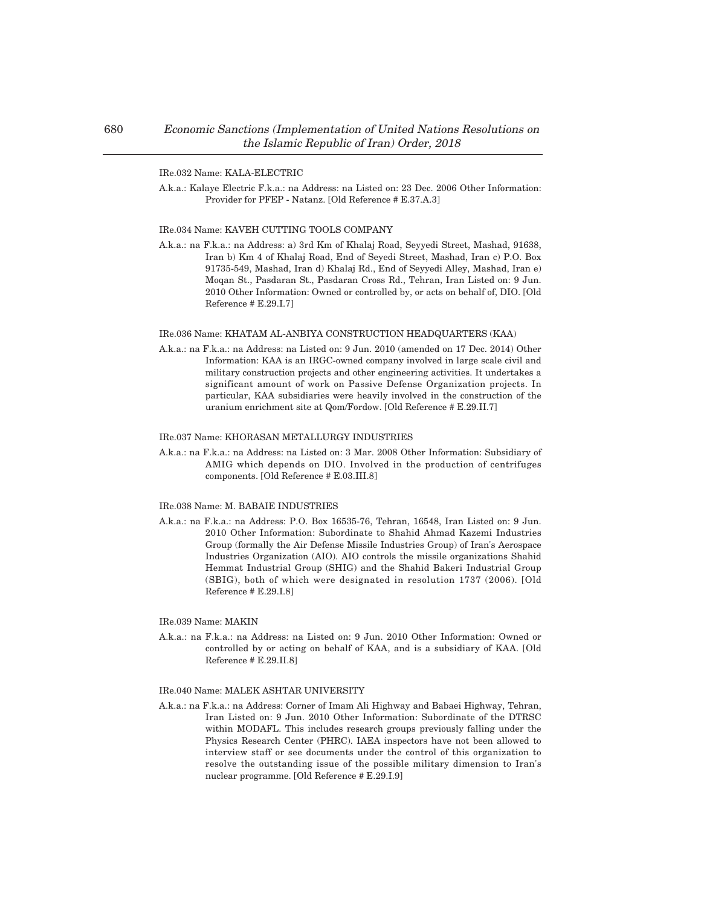#### IRe.032 Name: KALA-ELECTRIC

A.k.a.: Kalaye Electric F.k.a.: na Address: na Listed on: 23 Dec. 2006 Other Information: Provider for PFEP - Natanz. [Old Reference # E.37.A.3]

## IRe.034 Name: KAVEH CUTTING TOOLS COMPANY

A.k.a.: na F.k.a.: na Address: a) 3rd Km of Khalaj Road, Seyyedi Street, Mashad, 91638, Iran b) Km 4 of Khalaj Road, End of Seyedi Street, Mashad, Iran c) P.O. Box 91735-549, Mashad, Iran d) Khalaj Rd., End of Seyyedi Alley, Mashad, Iran e) Moqan St., Pasdaran St., Pasdaran Cross Rd., Tehran, Iran Listed on: 9 Jun. 2010 Other Information: Owned or controlled by, or acts on behalf of, DIO. [Old Reference # E.29.I.7]

## IRe.036 Name: KHATAM AL-ANBIYA CONSTRUCTION HEADQUARTERS (KAA)

A.k.a.: na F.k.a.: na Address: na Listed on: 9 Jun. 2010 (amended on 17 Dec. 2014) Other Information: KAA is an IRGC-owned company involved in large scale civil and military construction projects and other engineering activities. It undertakes a significant amount of work on Passive Defense Organization projects. In particular, KAA subsidiaries were heavily involved in the construction of the uranium enrichment site at Qom/Fordow. [Old Reference # E.29.II.7]

#### IRe.037 Name: KHORASAN METALLURGY INDUSTRIES

A.k.a.: na F.k.a.: na Address: na Listed on: 3 Mar. 2008 Other Information: Subsidiary of AMIG which depends on DIO. Involved in the production of centrifuges components. [Old Reference # E.03.III.8]

#### IRe.038 Name: M. BABAIE INDUSTRIES

A.k.a.: na F.k.a.: na Address: P.O. Box 16535-76, Tehran, 16548, Iran Listed on: 9 Jun. 2010 Other Information: Subordinate to Shahid Ahmad Kazemi Industries Group (formally the Air Defense Missile Industries Group) of Iran's Aerospace Industries Organization (AIO). AIO controls the missile organizations Shahid Hemmat Industrial Group (SHIG) and the Shahid Bakeri Industrial Group (SBIG), both of which were designated in resolution 1737 (2006). [Old Reference # E.29.I.8]

## IRe.039 Name: MAKIN

A.k.a.: na F.k.a.: na Address: na Listed on: 9 Jun. 2010 Other Information: Owned or controlled by or acting on behalf of KAA, and is a subsidiary of KAA. [Old Reference # E.29.II.8]

#### IRe.040 Name: MALEK ASHTAR UNIVERSITY

A.k.a.: na F.k.a.: na Address: Corner of Imam Ali Highway and Babaei Highway, Tehran, Iran Listed on: 9 Jun. 2010 Other Information: Subordinate of the DTRSC within MODAFL. This includes research groups previously falling under the Physics Research Center (PHRC). IAEA inspectors have not been allowed to interview staff or see documents under the control of this organization to resolve the outstanding issue of the possible military dimension to Iran's nuclear programme. [Old Reference # E.29.I.9]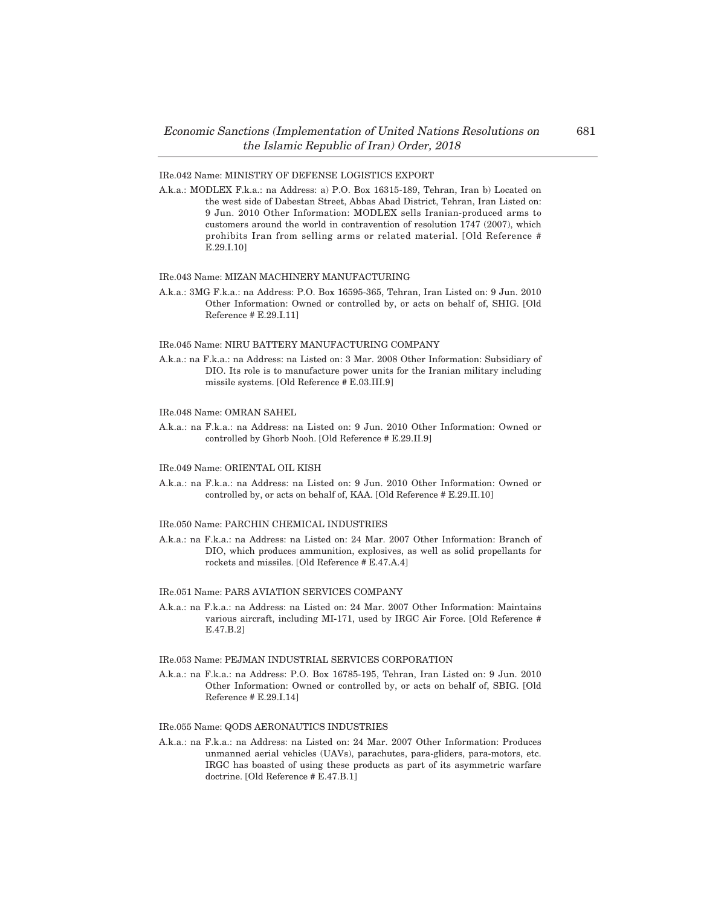## IRe.042 Name: MINISTRY OF DEFENSE LOGISTICS EXPORT

A.k.a.: MODLEX F.k.a.: na Address: a) P.O. Box 16315-189, Tehran, Iran b) Located on the west side of Dabestan Street, Abbas Abad District, Tehran, Iran Listed on: 9 Jun. 2010 Other Information: MODLEX sells Iranian-produced arms to customers around the world in contravention of resolution 1747 (2007), which prohibits Iran from selling arms or related material. [Old Reference # E.29.I.10]

## IRe.043 Name: MIZAN MACHINERY MANUFACTURING

A.k.a.: 3MG F.k.a.: na Address: P.O. Box 16595-365, Tehran, Iran Listed on: 9 Jun. 2010 Other Information: Owned or controlled by, or acts on behalf of, SHIG. [Old Reference # E.29.I.11]

#### IRe.045 Name: NIRU BATTERY MANUFACTURING COMPANY

A.k.a.: na F.k.a.: na Address: na Listed on: 3 Mar. 2008 Other Information: Subsidiary of DIO. Its role is to manufacture power units for the Iranian military including missile systems. [Old Reference # E.03.III.9]

#### IRe.048 Name: OMRAN SAHEL

A.k.a.: na F.k.a.: na Address: na Listed on: 9 Jun. 2010 Other Information: Owned or controlled by Ghorb Nooh. [Old Reference # E.29.II.9]

#### IRe.049 Name: ORIENTAL OIL KISH

A.k.a.: na F.k.a.: na Address: na Listed on: 9 Jun. 2010 Other Information: Owned or controlled by, or acts on behalf of, KAA. [Old Reference # E.29.II.10]

## IRe.050 Name: PARCHIN CHEMICAL INDUSTRIES

A.k.a.: na F.k.a.: na Address: na Listed on: 24 Mar. 2007 Other Information: Branch of DIO, which produces ammunition, explosives, as well as solid propellants for rockets and missiles. [Old Reference # E.47.A.4]

## IRe.051 Name: PARS AVIATION SERVICES COMPANY

A.k.a.: na F.k.a.: na Address: na Listed on: 24 Mar. 2007 Other Information: Maintains various aircraft, including MI-171, used by IRGC Air Force. [Old Reference # E.47.B.2]

#### IRe.053 Name: PEJMAN INDUSTRIAL SERVICES CORPORATION

A.k.a.: na F.k.a.: na Address: P.O. Box 16785-195, Tehran, Iran Listed on: 9 Jun. 2010 Other Information: Owned or controlled by, or acts on behalf of, SBIG. [Old Reference # E.29.I.14]

#### IRe.055 Name: QODS AERONAUTICS INDUSTRIES

A.k.a.: na F.k.a.: na Address: na Listed on: 24 Mar. 2007 Other Information: Produces unmanned aerial vehicles (UAVs), parachutes, para-gliders, para-motors, etc. IRGC has boasted of using these products as part of its asymmetric warfare doctrine. [Old Reference # E.47.B.1]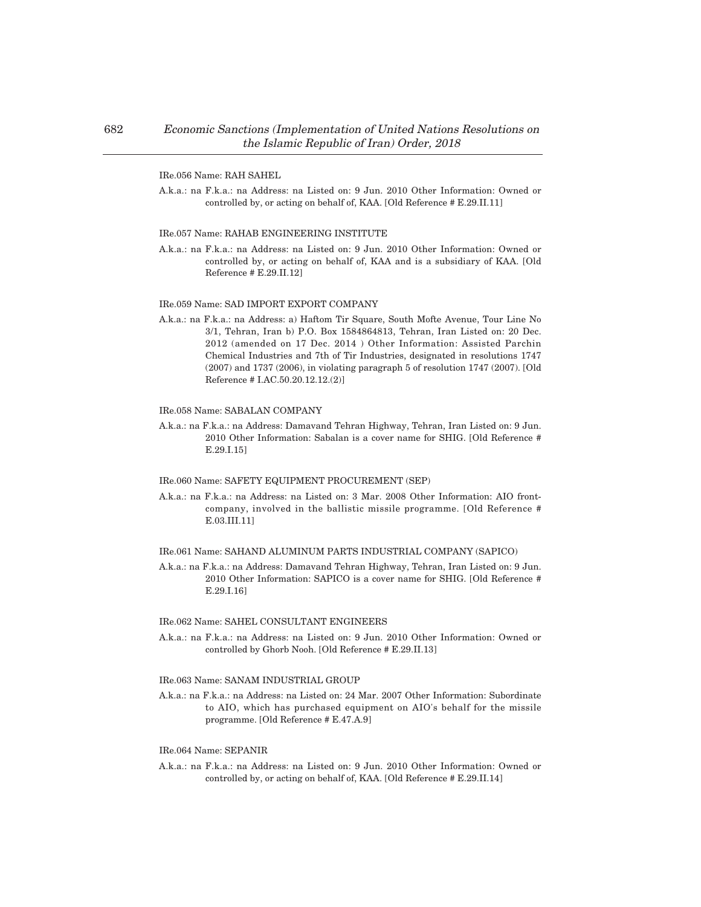## IRe.056 Name: RAH SAHEL

A.k.a.: na F.k.a.: na Address: na Listed on: 9 Jun. 2010 Other Information: Owned or controlled by, or acting on behalf of, KAA. [Old Reference # E.29.II.11]

## IRe.057 Name: RAHAB ENGINEERING INSTITUTE

A.k.a.: na F.k.a.: na Address: na Listed on: 9 Jun. 2010 Other Information: Owned or controlled by, or acting on behalf of, KAA and is a subsidiary of KAA. [Old Reference # E.29.II.12]

## IRe.059 Name: SAD IMPORT EXPORT COMPANY

A.k.a.: na F.k.a.: na Address: a) Haftom Tir Square, South Mofte Avenue, Tour Line No 3/1, Tehran, Iran b) P.O. Box 1584864813, Tehran, Iran Listed on: 20 Dec. 2012 (amended on 17 Dec. 2014 ) Other Information: Assisted Parchin Chemical Industries and 7th of Tir Industries, designated in resolutions 1747 (2007) and 1737 (2006), in violating paragraph 5 of resolution 1747 (2007). [Old Reference # I.AC.50.20.12.12.(2)]

#### IRe.058 Name: SABALAN COMPANY

A.k.a.: na F.k.a.: na Address: Damavand Tehran Highway, Tehran, Iran Listed on: 9 Jun. 2010 Other Information: Sabalan is a cover name for SHIG. [Old Reference # E.29.I.15]

## IRe.060 Name: SAFETY EQUIPMENT PROCUREMENT (SEP)

A.k.a.: na F.k.a.: na Address: na Listed on: 3 Mar. 2008 Other Information: AIO frontcompany, involved in the ballistic missile programme. [Old Reference # E.03.III.11]

## IRe.061 Name: SAHAND ALUMINUM PARTS INDUSTRIAL COMPANY (SAPICO)

A.k.a.: na F.k.a.: na Address: Damavand Tehran Highway, Tehran, Iran Listed on: 9 Jun. 2010 Other Information: SAPICO is a cover name for SHIG. [Old Reference # E.29.I.16]

## IRe.062 Name: SAHEL CONSULTANT ENGINEERS

A.k.a.: na F.k.a.: na Address: na Listed on: 9 Jun. 2010 Other Information: Owned or controlled by Ghorb Nooh. [Old Reference # E.29.II.13]

## IRe.063 Name: SANAM INDUSTRIAL GROUP

A.k.a.: na F.k.a.: na Address: na Listed on: 24 Mar. 2007 Other Information: Subordinate to AIO, which has purchased equipment on AIO's behalf for the missile programme. [Old Reference # E.47.A.9]

## IRe.064 Name: SEPANIR

A.k.a.: na F.k.a.: na Address: na Listed on: 9 Jun. 2010 Other Information: Owned or controlled by, or acting on behalf of, KAA. [Old Reference # E.29.II.14]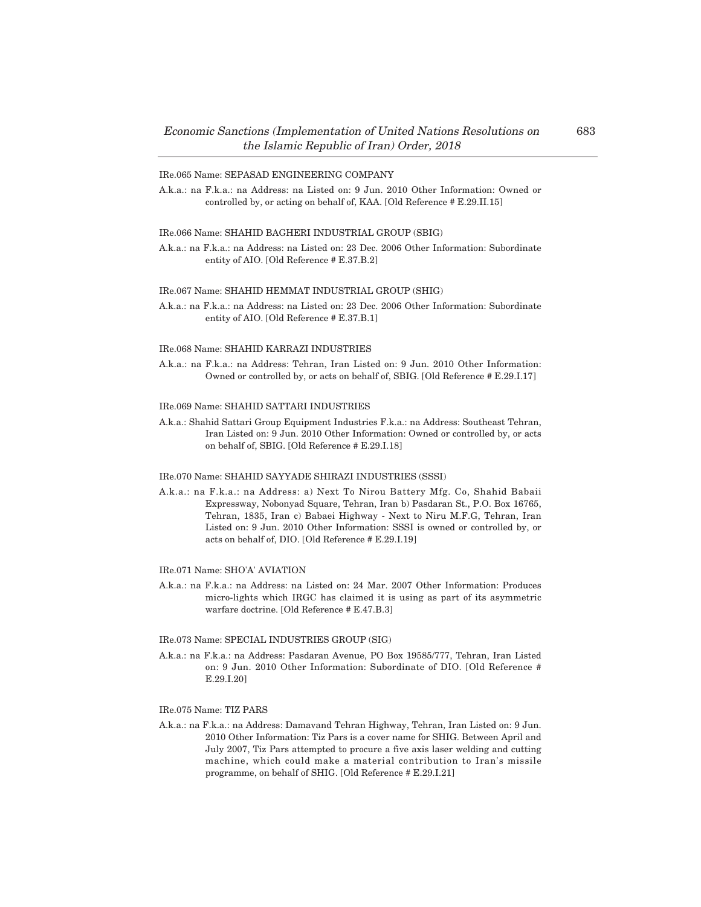## IRe.065 Name: SEPASAD ENGINEERING COMPANY

A.k.a.: na F.k.a.: na Address: na Listed on: 9 Jun. 2010 Other Information: Owned or controlled by, or acting on behalf of, KAA. [Old Reference # E.29.II.15]

## IRe.066 Name: SHAHID BAGHERI INDUSTRIAL GROUP (SBIG)

A.k.a.: na F.k.a.: na Address: na Listed on: 23 Dec. 2006 Other Information: Subordinate entity of AIO. [Old Reference # E.37.B.2]

## IRe.067 Name: SHAHID HEMMAT INDUSTRIAL GROUP (SHIG)

A.k.a.: na F.k.a.: na Address: na Listed on: 23 Dec. 2006 Other Information: Subordinate entity of AIO. [Old Reference # E.37.B.1]

#### IRe.068 Name: SHAHID KARRAZI INDUSTRIES

A.k.a.: na F.k.a.: na Address: Tehran, Iran Listed on: 9 Jun. 2010 Other Information: Owned or controlled by, or acts on behalf of, SBIG. [Old Reference # E.29.I.17]

## IRe.069 Name: SHAHID SATTARI INDUSTRIES

A.k.a.: Shahid Sattari Group Equipment Industries F.k.a.: na Address: Southeast Tehran, Iran Listed on: 9 Jun. 2010 Other Information: Owned or controlled by, or acts on behalf of, SBIG. [Old Reference # E.29.I.18]

#### IRe.070 Name: SHAHID SAYYADE SHIRAZI INDUSTRIES (SSSI)

A.k.a.: na F.k.a.: na Address: a) Next To Nirou Battery Mfg. Co, Shahid Babaii Expressway, Nobonyad Square, Tehran, Iran b) Pasdaran St., P.O. Box 16765, Tehran, 1835, Iran c) Babaei Highway - Next to Niru M.F.G, Tehran, Iran Listed on: 9 Jun. 2010 Other Information: SSSI is owned or controlled by, or acts on behalf of, DIO. [Old Reference # E.29.I.19]

#### IRe.071 Name: SHO'A' AVIATION

A.k.a.: na F.k.a.: na Address: na Listed on: 24 Mar. 2007 Other Information: Produces micro-lights which IRGC has claimed it is using as part of its asymmetric warfare doctrine. [Old Reference # E.47.B.3]

#### IRe.073 Name: SPECIAL INDUSTRIES GROUP (SIG)

A.k.a.: na F.k.a.: na Address: Pasdaran Avenue, PO Box 19585/777, Tehran, Iran Listed on: 9 Jun. 2010 Other Information: Subordinate of DIO. [Old Reference # E.29.I.20]

#### IRe.075 Name: TIZ PARS

A.k.a.: na F.k.a.: na Address: Damavand Tehran Highway, Tehran, Iran Listed on: 9 Jun. 2010 Other Information: Tiz Pars is a cover name for SHIG. Between April and July 2007, Tiz Pars attempted to procure a five axis laser welding and cutting machine, which could make a material contribution to Iran's missile programme, on behalf of SHIG. [Old Reference # E.29.I.21]